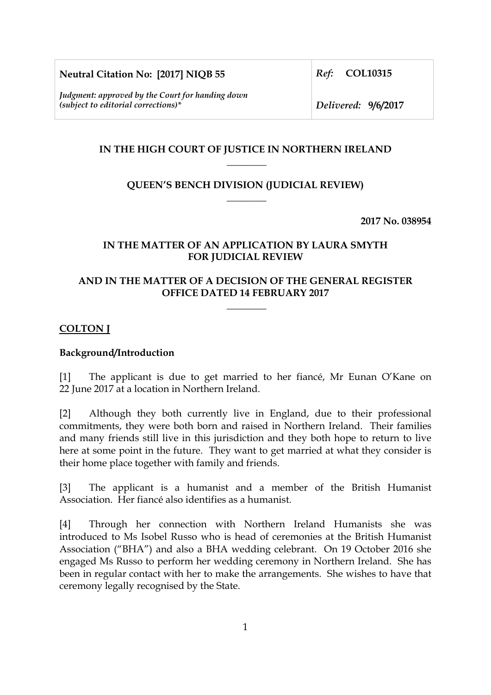**Neutral Citation No: [2017] NIQB 55**

*Judgment: approved by the Court for handing down (subject to editorial corrections)\** 

*Ref:* **COL10315**

*Delivered:* **9/6/2017**

# **IN THE HIGH COURT OF JUSTICE IN NORTHERN IRELAND \_\_\_\_\_\_\_\_**

# **QUEEN'S BENCH DIVISION (JUDICIAL REVIEW) \_\_\_\_\_\_\_\_**

**2017 No. 038954**

## **IN THE MATTER OF AN APPLICATION BY LAURA SMYTH FOR JUDICIAL REVIEW**

# **AND IN THE MATTER OF A DECISION OF THE GENERAL REGISTER OFFICE DATED 14 FEBRUARY 2017**

**\_\_\_\_\_\_\_\_** 

## **COLTON J**

## **Background/Introduction**

[1] The applicant is due to get married to her fiancé, Mr Eunan O'Kane on 22 June 2017 at a location in Northern Ireland.

[2] Although they both currently live in England, due to their professional commitments, they were both born and raised in Northern Ireland. Their families and many friends still live in this jurisdiction and they both hope to return to live here at some point in the future. They want to get married at what they consider is their home place together with family and friends.

[3] The applicant is a humanist and a member of the British Humanist Association. Her fiancé also identifies as a humanist.

[4] Through her connection with Northern Ireland Humanists she was introduced to Ms Isobel Russo who is head of ceremonies at the British Humanist Association ("BHA") and also a BHA wedding celebrant. On 19 October 2016 she engaged Ms Russo to perform her wedding ceremony in Northern Ireland. She has been in regular contact with her to make the arrangements. She wishes to have that ceremony legally recognised by the State.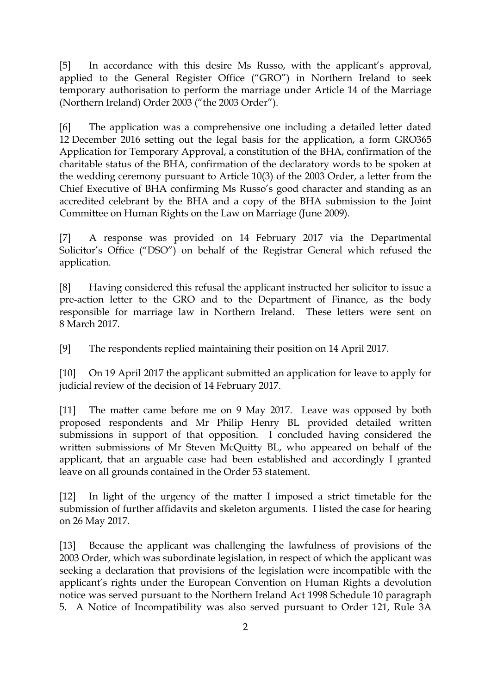[5] In accordance with this desire Ms Russo, with the applicant's approval, applied to the General Register Office ("GRO") in Northern Ireland to seek temporary authorisation to perform the marriage under Article 14 of the Marriage (Northern Ireland) Order 2003 ("the 2003 Order").

[6] The application was a comprehensive one including a detailed letter dated 12 December 2016 setting out the legal basis for the application, a form GRO365 Application for Temporary Approval, a constitution of the BHA, confirmation of the charitable status of the BHA, confirmation of the declaratory words to be spoken at the wedding ceremony pursuant to Article 10(3) of the 2003 Order, a letter from the Chief Executive of BHA confirming Ms Russo's good character and standing as an accredited celebrant by the BHA and a copy of the BHA submission to the Joint Committee on Human Rights on the Law on Marriage (June 2009).

[7] A response was provided on 14 February 2017 via the Departmental Solicitor's Office ("DSO") on behalf of the Registrar General which refused the application.

[8] Having considered this refusal the applicant instructed her solicitor to issue a pre-action letter to the GRO and to the Department of Finance, as the body responsible for marriage law in Northern Ireland. These letters were sent on 8 March 2017.

[9] The respondents replied maintaining their position on 14 April 2017.

[10] On 19 April 2017 the applicant submitted an application for leave to apply for judicial review of the decision of 14 February 2017.

[11] The matter came before me on 9 May 2017. Leave was opposed by both proposed respondents and Mr Philip Henry BL provided detailed written submissions in support of that opposition. I concluded having considered the written submissions of Mr Steven McQuitty BL, who appeared on behalf of the applicant, that an arguable case had been established and accordingly I granted leave on all grounds contained in the Order 53 statement.

[12] In light of the urgency of the matter I imposed a strict timetable for the submission of further affidavits and skeleton arguments. I listed the case for hearing on 26 May 2017.

[13] Because the applicant was challenging the lawfulness of provisions of the 2003 Order, which was subordinate legislation, in respect of which the applicant was seeking a declaration that provisions of the legislation were incompatible with the applicant's rights under the European Convention on Human Rights a devolution notice was served pursuant to the Northern Ireland Act 1998 Schedule 10 paragraph 5. A Notice of Incompatibility was also served pursuant to Order 121, Rule 3A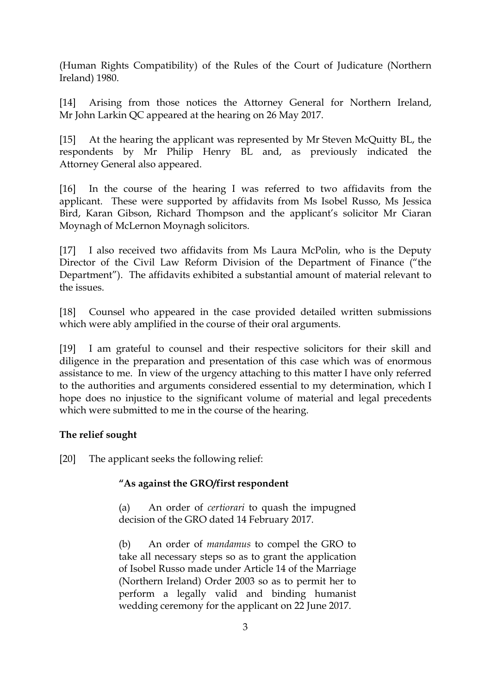(Human Rights Compatibility) of the Rules of the Court of Judicature (Northern Ireland) 1980.

[14] Arising from those notices the Attorney General for Northern Ireland, Mr John Larkin QC appeared at the hearing on 26 May 2017.

[15] At the hearing the applicant was represented by Mr Steven McQuitty BL, the respondents by Mr Philip Henry BL and, as previously indicated the Attorney General also appeared.

[16] In the course of the hearing I was referred to two affidavits from the applicant. These were supported by affidavits from Ms Isobel Russo, Ms Jessica Bird, Karan Gibson, Richard Thompson and the applicant's solicitor Mr Ciaran Moynagh of McLernon Moynagh solicitors.

[17] I also received two affidavits from Ms Laura McPolin, who is the Deputy Director of the Civil Law Reform Division of the Department of Finance ("the Department"). The affidavits exhibited a substantial amount of material relevant to the issues.

[18] Counsel who appeared in the case provided detailed written submissions which were ably amplified in the course of their oral arguments.

[19] I am grateful to counsel and their respective solicitors for their skill and diligence in the preparation and presentation of this case which was of enormous assistance to me. In view of the urgency attaching to this matter I have only referred to the authorities and arguments considered essential to my determination, which I hope does no injustice to the significant volume of material and legal precedents which were submitted to me in the course of the hearing.

# **The relief sought**

[20] The applicant seeks the following relief:

## **"As against the GRO/first respondent**

(a) An order of *certiorari* to quash the impugned decision of the GRO dated 14 February 2017.

(b) An order of *mandamus* to compel the GRO to take all necessary steps so as to grant the application of Isobel Russo made under Article 14 of the Marriage (Northern Ireland) Order 2003 so as to permit her to perform a legally valid and binding humanist wedding ceremony for the applicant on 22 June 2017.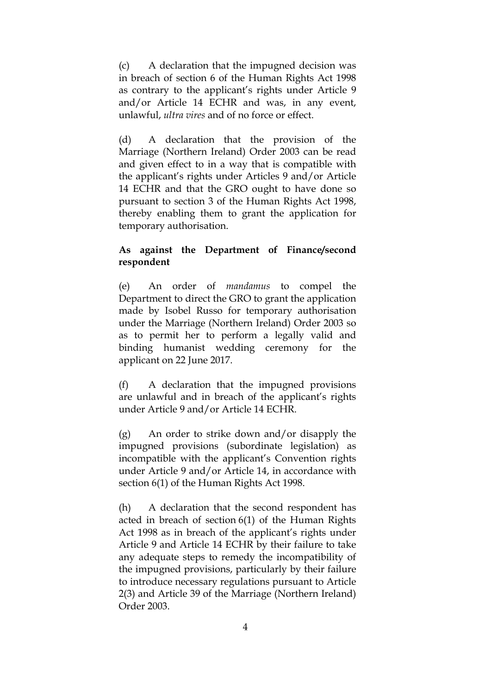(c) A declaration that the impugned decision was in breach of section 6 of the Human Rights Act 1998 as contrary to the applicant's rights under Article 9 and/or Article 14 ECHR and was, in any event, unlawful, *ultra vires* and of no force or effect.

(d) A declaration that the provision of the Marriage (Northern Ireland) Order 2003 can be read and given effect to in a way that is compatible with the applicant's rights under Articles 9 and/or Article 14 ECHR and that the GRO ought to have done so pursuant to section 3 of the Human Rights Act 1998, thereby enabling them to grant the application for temporary authorisation.

#### **As against the Department of Finance/second respondent**

(e) An order of *mandamus* to compel the Department to direct the GRO to grant the application made by Isobel Russo for temporary authorisation under the Marriage (Northern Ireland) Order 2003 so as to permit her to perform a legally valid and binding humanist wedding ceremony for the applicant on 22 June 2017.

(f) A declaration that the impugned provisions are unlawful and in breach of the applicant's rights under Article 9 and/or Article 14 ECHR.

(g) An order to strike down and/or disapply the impugned provisions (subordinate legislation) as incompatible with the applicant's Convention rights under Article 9 and/or Article 14, in accordance with section 6(1) of the Human Rights Act 1998.

(h) A declaration that the second respondent has acted in breach of section 6(1) of the Human Rights Act 1998 as in breach of the applicant's rights under Article 9 and Article 14 ECHR by their failure to take any adequate steps to remedy the incompatibility of the impugned provisions, particularly by their failure to introduce necessary regulations pursuant to Article 2(3) and Article 39 of the Marriage (Northern Ireland) Order 2003.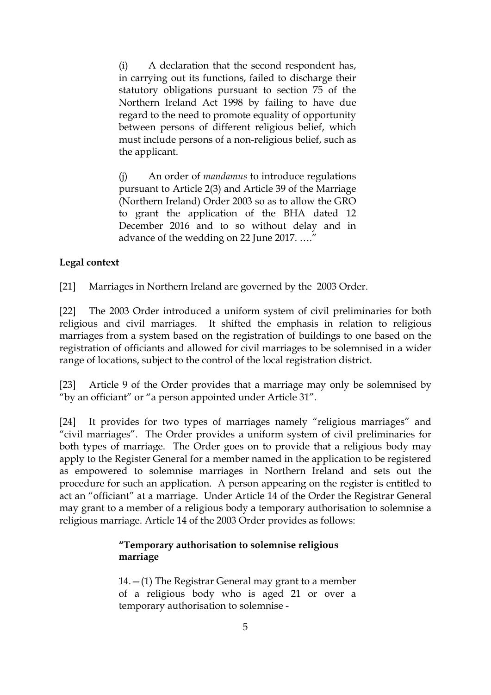(i) A declaration that the second respondent has, in carrying out its functions, failed to discharge their statutory obligations pursuant to section 75 of the Northern Ireland Act 1998 by failing to have due regard to the need to promote equality of opportunity between persons of different religious belief, which must include persons of a non-religious belief, such as the applicant.

(j) An order of *mandamus* to introduce regulations pursuant to Article 2(3) and Article 39 of the Marriage (Northern Ireland) Order 2003 so as to allow the GRO to grant the application of the BHA dated 12 December 2016 and to so without delay and in advance of the wedding on 22 June 2017. …."

# **Legal context**

[21] Marriages in Northern Ireland are governed by the 2003 Order.

[22] The 2003 Order introduced a uniform system of civil preliminaries for both religious and civil marriages. It shifted the emphasis in relation to religious marriages from a system based on the registration of buildings to one based on the registration of officiants and allowed for civil marriages to be solemnised in a wider range of locations, subject to the control of the local registration district.

[23] Article 9 of the Order provides that a marriage may only be solemnised by "by an officiant" or "a person appointed under Article 31".

[24] It provides for two types of marriages namely "religious marriages" and "civil marriages". The Order provides a uniform system of civil preliminaries for both types of marriage. The Order goes on to provide that a religious body may apply to the Register General for a member named in the application to be registered as empowered to solemnise marriages in Northern Ireland and sets out the procedure for such an application. A person appearing on the register is entitled to act an "officiant" at a marriage. Under Article 14 of the Order the Registrar General may grant to a member of a religious body a temporary authorisation to solemnise a religious marriage. Article 14 of the 2003 Order provides as follows:

# **"Temporary authorisation to solemnise religious marriage**

14.—(1) The Registrar General may grant to a member of a religious body who is aged 21 or over a temporary authorisation to solemnise -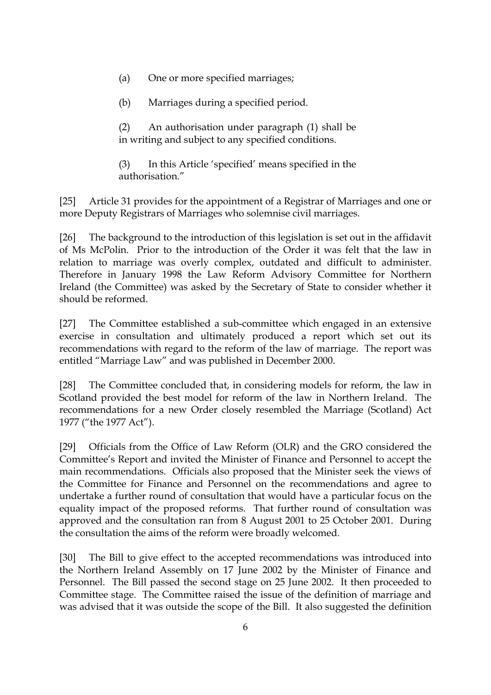- (a) One or more specified marriages;
- (b) Marriages during a specified period.

(2) An authorisation under paragraph (1) shall be in writing and subject to any specified conditions.

(3) In this Article 'specified' means specified in the authorisation."

[25] Article 31 provides for the appointment of a Registrar of Marriages and one or more Deputy Registrars of Marriages who solemnise civil marriages.

[26] The background to the introduction of this legislation is set out in the affidavit of Ms McPolin. Prior to the introduction of the Order it was felt that the law in relation to marriage was overly complex, outdated and difficult to administer. Therefore in January 1998 the Law Reform Advisory Committee for Northern Ireland (the Committee) was asked by the Secretary of State to consider whether it should be reformed.

[27] The Committee established a sub-committee which engaged in an extensive exercise in consultation and ultimately produced a report which set out its recommendations with regard to the reform of the law of marriage. The report was entitled "Marriage Law" and was published in December 2000.

[28] The Committee concluded that, in considering models for reform, the law in Scotland provided the best model for reform of the law in Northern Ireland. The recommendations for a new Order closely resembled the Marriage (Scotland) Act 1977 ("the 1977 Act").

[29] Officials from the Office of Law Reform (OLR) and the GRO considered the Committee's Report and invited the Minister of Finance and Personnel to accept the main recommendations. Officials also proposed that the Minister seek the views of the Committee for Finance and Personnel on the recommendations and agree to undertake a further round of consultation that would have a particular focus on the equality impact of the proposed reforms. That further round of consultation was approved and the consultation ran from 8 August 2001 to 25 October 2001. During the consultation the aims of the reform were broadly welcomed.

[30] The Bill to give effect to the accepted recommendations was introduced into the Northern Ireland Assembly on 17 June 2002 by the Minister of Finance and Personnel. The Bill passed the second stage on 25 June 2002. It then proceeded to Committee stage. The Committee raised the issue of the definition of marriage and was advised that it was outside the scope of the Bill. It also suggested the definition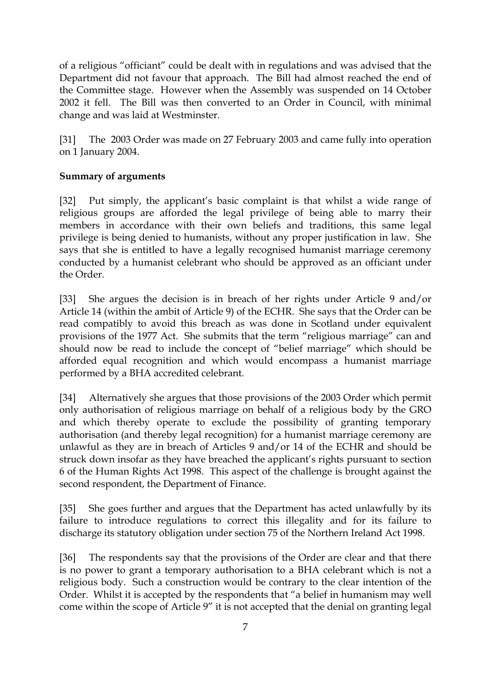of a religious "officiant" could be dealt with in regulations and was advised that the Department did not favour that approach. The Bill had almost reached the end of the Committee stage. However when the Assembly was suspended on 14 October 2002 it fell. The Bill was then converted to an Order in Council, with minimal change and was laid at Westminster.

[31] The 2003 Order was made on 27 February 2003 and came fully into operation on 1 January 2004.

# **Summary of arguments**

[32] Put simply, the applicant's basic complaint is that whilst a wide range of religious groups are afforded the legal privilege of being able to marry their members in accordance with their own beliefs and traditions, this same legal privilege is being denied to humanists, without any proper justification in law. She says that she is entitled to have a legally recognised humanist marriage ceremony conducted by a humanist celebrant who should be approved as an officiant under the Order.

[33] She argues the decision is in breach of her rights under Article 9 and/or Article 14 (within the ambit of Article 9) of the ECHR. She says that the Order can be read compatibly to avoid this breach as was done in Scotland under equivalent provisions of the 1977 Act. She submits that the term "religious marriage" can and should now be read to include the concept of "belief marriage" which should be afforded equal recognition and which would encompass a humanist marriage performed by a BHA accredited celebrant.

[34] Alternatively she argues that those provisions of the 2003 Order which permit only authorisation of religious marriage on behalf of a religious body by the GRO and which thereby operate to exclude the possibility of granting temporary authorisation (and thereby legal recognition) for a humanist marriage ceremony are unlawful as they are in breach of Articles 9 and/or 14 of the ECHR and should be struck down insofar as they have breached the applicant's rights pursuant to section 6 of the Human Rights Act 1998. This aspect of the challenge is brought against the second respondent, the Department of Finance.

[35] She goes further and argues that the Department has acted unlawfully by its failure to introduce regulations to correct this illegality and for its failure to discharge its statutory obligation under section 75 of the Northern Ireland Act 1998.

[36] The respondents say that the provisions of the Order are clear and that there is no power to grant a temporary authorisation to a BHA celebrant which is not a religious body. Such a construction would be contrary to the clear intention of the Order. Whilst it is accepted by the respondents that "a belief in humanism may well come within the scope of Article 9" it is not accepted that the denial on granting legal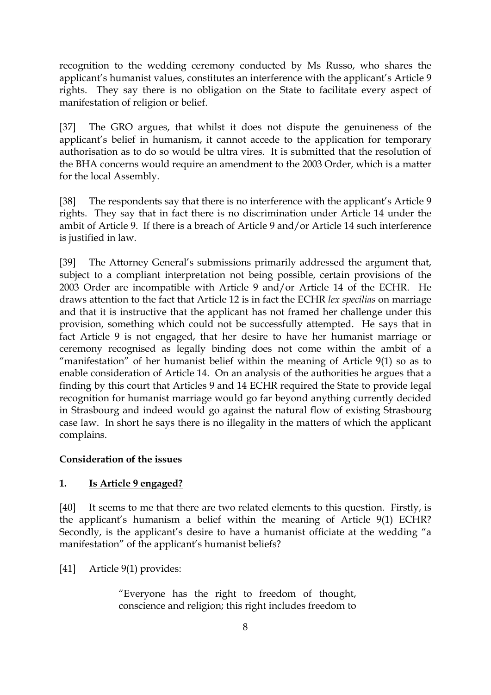recognition to the wedding ceremony conducted by Ms Russo, who shares the applicant's humanist values, constitutes an interference with the applicant's Article 9 rights. They say there is no obligation on the State to facilitate every aspect of manifestation of religion or belief.

[37] The GRO argues, that whilst it does not dispute the genuineness of the applicant's belief in humanism, it cannot accede to the application for temporary authorisation as to do so would be ultra vires. It is submitted that the resolution of the BHA concerns would require an amendment to the 2003 Order, which is a matter for the local Assembly.

[38] The respondents say that there is no interference with the applicant's Article 9 rights. They say that in fact there is no discrimination under Article 14 under the ambit of Article 9. If there is a breach of Article 9 and/or Article 14 such interference is justified in law.

[39] The Attorney General's submissions primarily addressed the argument that, subject to a compliant interpretation not being possible, certain provisions of the 2003 Order are incompatible with Article 9 and/or Article 14 of the ECHR. He draws attention to the fact that Article 12 is in fact the ECHR *lex specilias* on marriage and that it is instructive that the applicant has not framed her challenge under this provision, something which could not be successfully attempted. He says that in fact Article 9 is not engaged, that her desire to have her humanist marriage or ceremony recognised as legally binding does not come within the ambit of a "manifestation" of her humanist belief within the meaning of Article 9(1) so as to enable consideration of Article 14. On an analysis of the authorities he argues that a finding by this court that Articles 9 and 14 ECHR required the State to provide legal recognition for humanist marriage would go far beyond anything currently decided in Strasbourg and indeed would go against the natural flow of existing Strasbourg case law. In short he says there is no illegality in the matters of which the applicant complains.

## **Consideration of the issues**

# **1. Is Article 9 engaged?**

[40] It seems to me that there are two related elements to this question. Firstly, is the applicant's humanism a belief within the meaning of Article 9(1) ECHR? Secondly, is the applicant's desire to have a humanist officiate at the wedding "a manifestation" of the applicant's humanist beliefs?

[41] Article 9(1) provides:

"Everyone has the right to freedom of thought, conscience and religion; this right includes freedom to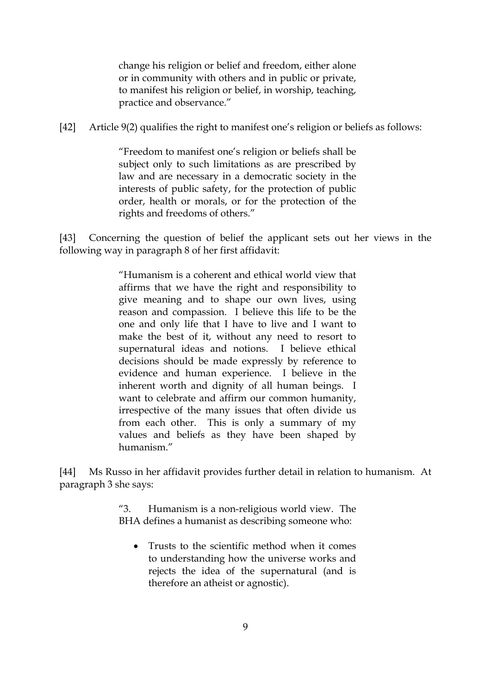change his religion or belief and freedom, either alone or in community with others and in public or private, to manifest his religion or belief, in worship, teaching, practice and observance."

[42] Article 9(2) qualifies the right to manifest one's religion or beliefs as follows:

"Freedom to manifest one's religion or beliefs shall be subject only to such limitations as are prescribed by law and are necessary in a democratic society in the interests of public safety, for the protection of public order, health or morals, or for the protection of the rights and freedoms of others."

[43] Concerning the question of belief the applicant sets out her views in the following way in paragraph 8 of her first affidavit:

> "Humanism is a coherent and ethical world view that affirms that we have the right and responsibility to give meaning and to shape our own lives, using reason and compassion. I believe this life to be the one and only life that I have to live and I want to make the best of it, without any need to resort to supernatural ideas and notions. I believe ethical decisions should be made expressly by reference to evidence and human experience. I believe in the inherent worth and dignity of all human beings. I want to celebrate and affirm our common humanity, irrespective of the many issues that often divide us from each other. This is only a summary of my values and beliefs as they have been shaped by humanism."

[44] Ms Russo in her affidavit provides further detail in relation to humanism. At paragraph 3 she says:

> "3. Humanism is a non-religious world view. The BHA defines a humanist as describing someone who:

Trusts to the scientific method when it comes to understanding how the universe works and rejects the idea of the supernatural (and is therefore an atheist or agnostic).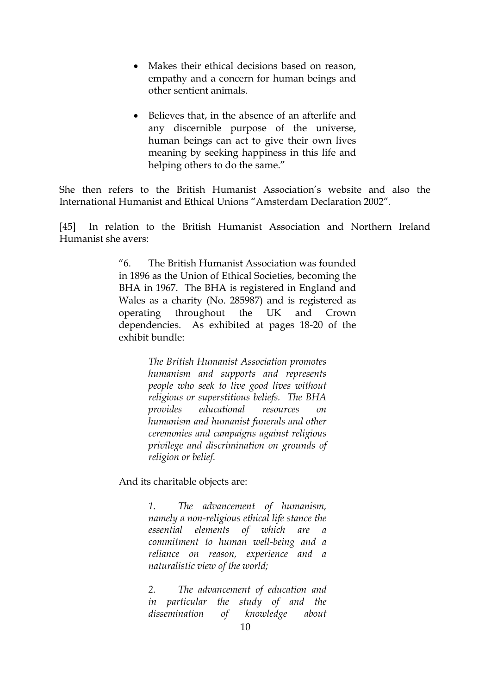- Makes their ethical decisions based on reason, empathy and a concern for human beings and other sentient animals.
- Believes that, in the absence of an afterlife and any discernible purpose of the universe, human beings can act to give their own lives meaning by seeking happiness in this life and helping others to do the same."

She then refers to the British Humanist Association's website and also the International Humanist and Ethical Unions "Amsterdam Declaration 2002".

[45] In relation to the British Humanist Association and Northern Ireland Humanist she avers:

> "6. The British Humanist Association was founded in 1896 as the Union of Ethical Societies, becoming the BHA in 1967. The BHA is registered in England and Wales as a charity (No. 285987) and is registered as operating throughout the UK and Crown dependencies. As exhibited at pages 18-20 of the exhibit bundle:

> > *The British Humanist Association promotes humanism and supports and represents people who seek to live good lives without religious or superstitious beliefs. The BHA provides educational resources on humanism and humanist funerals and other ceremonies and campaigns against religious privilege and discrimination on grounds of religion or belief.*

And its charitable objects are:

*1. The advancement of humanism, namely a non-religious ethical life stance the essential elements of which are commitment to human well-being and a reliance on reason, experience and a naturalistic view of the world;*

*2. The advancement of education and in particular the study of and the dissemination of knowledge about*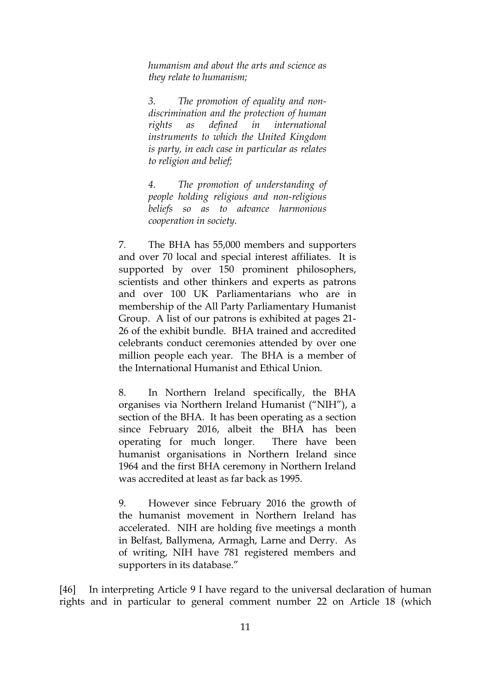*humanism and about the arts and science as they relate to humanism;*

*3. The promotion of equality and nondiscrimination and the protection of human rights as defined in international instruments to which the United Kingdom is party, in each case in particular as relates to religion and belief;*

*4. The promotion of understanding of people holding religious and non-religious beliefs so as to advance harmonious cooperation in society.* 

7. The BHA has 55,000 members and supporters and over 70 local and special interest affiliates. It is supported by over 150 prominent philosophers, scientists and other thinkers and experts as patrons and over 100 UK Parliamentarians who are in membership of the All Party Parliamentary Humanist Group. A list of our patrons is exhibited at pages 21- 26 of the exhibit bundle. BHA trained and accredited celebrants conduct ceremonies attended by over one million people each year. The BHA is a member of the International Humanist and Ethical Union.

8. In Northern Ireland specifically, the BHA organises via Northern Ireland Humanist ("NIH"), a section of the BHA. It has been operating as a section since February 2016, albeit the BHA has been operating for much longer. There have been humanist organisations in Northern Ireland since 1964 and the first BHA ceremony in Northern Ireland was accredited at least as far back as 1995.

9. However since February 2016 the growth of the humanist movement in Northern Ireland has accelerated. NIH are holding five meetings a month in Belfast, Ballymena, Armagh, Larne and Derry. As of writing, NIH have 781 registered members and supporters in its database."

[46] In interpreting Article 9 I have regard to the universal declaration of human rights and in particular to general comment number 22 on Article 18 (which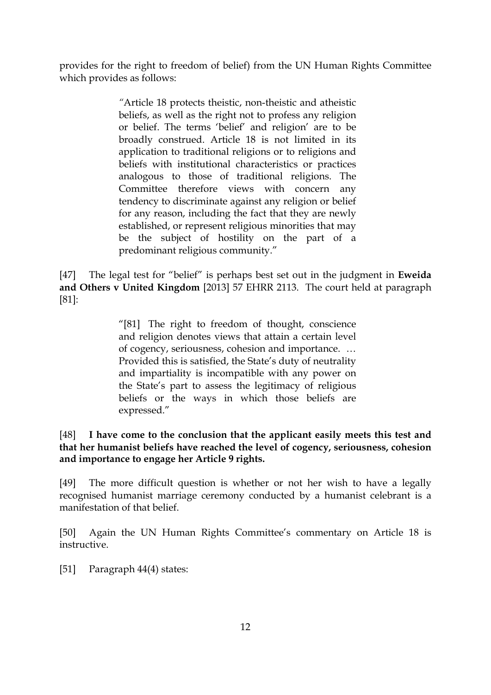provides for the right to freedom of belief) from the UN Human Rights Committee which provides as follows:

> *"*Article 18 protects theistic, non-theistic and atheistic beliefs, as well as the right not to profess any religion or belief. The terms 'belief' and religion' are to be broadly construed. Article 18 is not limited in its application to traditional religions or to religions and beliefs with institutional characteristics or practices analogous to those of traditional religions. The Committee therefore views with concern any tendency to discriminate against any religion or belief for any reason, including the fact that they are newly established, or represent religious minorities that may be the subject of hostility on the part of a predominant religious community."

[47] The legal test for "belief" is perhaps best set out in the judgment in **Eweida and Others v United Kingdom** [2013] 57 EHRR 2113. The court held at paragraph [81]:

> "[81] The right to freedom of thought, conscience and religion denotes views that attain a certain level of cogency, seriousness, cohesion and importance. … Provided this is satisfied, the State's duty of neutrality and impartiality is incompatible with any power on the State's part to assess the legitimacy of religious beliefs or the ways in which those beliefs are expressed."

# [48] **I have come to the conclusion that the applicant easily meets this test and that her humanist beliefs have reached the level of cogency, seriousness, cohesion and importance to engage her Article 9 rights.**

[49] The more difficult question is whether or not her wish to have a legally recognised humanist marriage ceremony conducted by a humanist celebrant is a manifestation of that belief.

[50] Again the UN Human Rights Committee's commentary on Article 18 is instructive.

[51] Paragraph 44(4) states: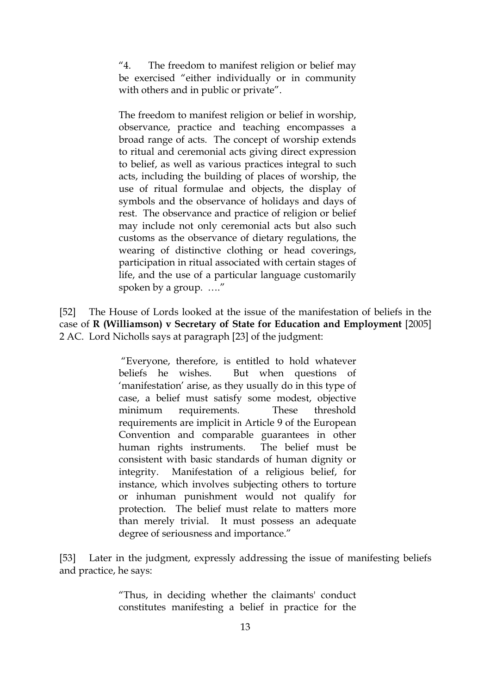"4. The freedom to manifest religion or belief may be exercised "either individually or in community with others and in public or private".

The freedom to manifest religion or belief in worship, observance, practice and teaching encompasses a broad range of acts. The concept of worship extends to ritual and ceremonial acts giving direct expression to belief, as well as various practices integral to such acts, including the building of places of worship, the use of ritual formulae and objects, the display of symbols and the observance of holidays and days of rest. The observance and practice of religion or belief may include not only ceremonial acts but also such customs as the observance of dietary regulations, the wearing of distinctive clothing or head coverings, participation in ritual associated with certain stages of life, and the use of a particular language customarily spoken by a group. …."

[52] The House of Lords looked at the issue of the manifestation of beliefs in the case of **R (Williamson) v Secretary of State for Education and Employment** [2005] 2 AC. Lord Nicholls says at paragraph [23] of the judgment:

> "Everyone, therefore, is entitled to hold whatever beliefs he wishes. But when questions of 'manifestation' arise, as they usually do in this type of case, a belief must satisfy some modest, objective minimum requirements. These threshold requirements are implicit in Article 9 of the European Convention and comparable guarantees in other human rights instruments. The belief must be consistent with basic standards of human dignity or integrity. Manifestation of a religious belief, for instance, which involves subjecting others to torture or inhuman punishment would not qualify for protection. The belief must relate to matters more than merely trivial. It must possess an adequate degree of seriousness and importance."

[53] Later in the judgment, expressly addressing the issue of manifesting beliefs and practice, he says:

> "Thus, in deciding whether the claimants' conduct constitutes manifesting a belief in practice for the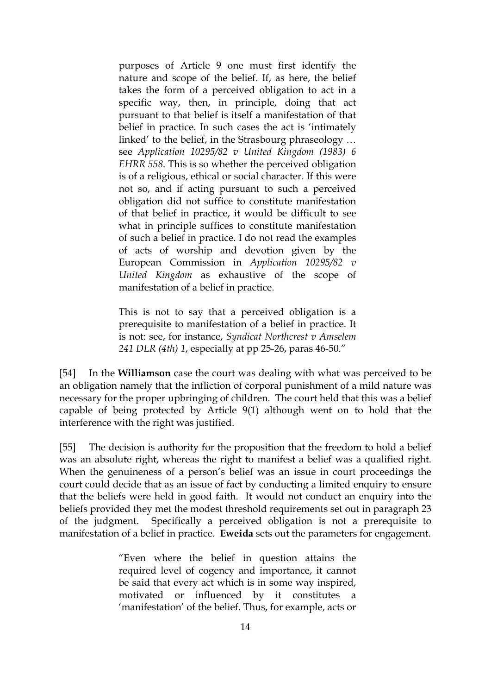purposes of Article 9 one must first identify the nature and scope of the belief. If, as here, the belief takes the form of a perceived obligation to act in a specific way, then, in principle, doing that act pursuant to that belief is itself a manifestation of that belief in practice. In such cases the act is 'intimately linked' to the belief, in the Strasbourg phraseology … see *Application 10295/82 v United Kingdom (1983) 6 EHRR 558*. This is so whether the perceived obligation is of a religious, ethical or social character. If this were not so, and if acting pursuant to such a perceived obligation did not suffice to constitute manifestation of that belief in practice, it would be difficult to see what in principle suffices to constitute manifestation of such a belief in practice. I do not read the examples of acts of worship and devotion given by the European Commission in *Application 10295/82 v United Kingdom* as exhaustive of the scope of manifestation of a belief in practice.

This is not to say that a perceived obligation is a prerequisite to manifestation of a belief in practice. It is not: see, for instance, *Syndicat Northcrest v Amselem 241 DLR (4th) 1*, especially at pp 25-26, paras 46-50."

[54] In the **Williamson** case the court was dealing with what was perceived to be an obligation namely that the infliction of corporal punishment of a mild nature was necessary for the proper upbringing of children. The court held that this was a belief capable of being protected by Article 9(1) although went on to hold that the interference with the right was justified.

[55] The decision is authority for the proposition that the freedom to hold a belief was an absolute right, whereas the right to manifest a belief was a qualified right. When the genuineness of a person's belief was an issue in court proceedings the court could decide that as an issue of fact by conducting a limited enquiry to ensure that the beliefs were held in good faith. It would not conduct an enquiry into the beliefs provided they met the modest threshold requirements set out in paragraph 23 of the judgment. Specifically a perceived obligation is not a prerequisite to manifestation of a belief in practice. **Eweida** sets out the parameters for engagement.

> "Even where the belief in question attains the required level of cogency and importance, it cannot be said that every act which is in some way inspired, motivated or influenced by it constitutes a 'manifestation' of the belief. Thus, for example, acts or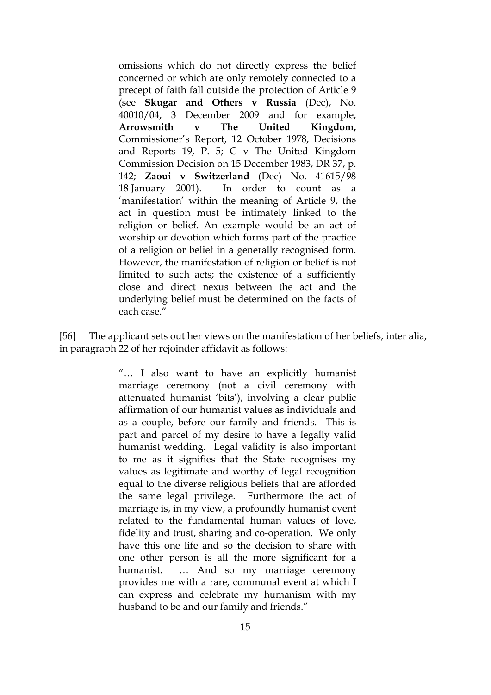omissions which do not directly express the belief concerned or which are only remotely connected to a precept of faith fall outside the protection of Article 9 (see **Skugar and Others v Russia** (Dec), No. 40010/04, 3 December 2009 and for example, **Arrowsmith v The United Kingdom,**  Commissioner's Report, 12 October 1978, Decisions and Reports 19, P. 5; C v The United Kingdom Commission Decision on 15 December 1983, DR 37, p. 142; **Zaoui v Switzerland** (Dec) No. 41615/98 18 January 2001). In order to count as a 'manifestation' within the meaning of Article 9, the act in question must be intimately linked to the religion or belief. An example would be an act of worship or devotion which forms part of the practice of a religion or belief in a generally recognised form. However, the manifestation of religion or belief is not limited to such acts; the existence of a sufficiently close and direct nexus between the act and the underlying belief must be determined on the facts of each case."

[56] The applicant sets out her views on the manifestation of her beliefs, inter alia, in paragraph 22 of her rejoinder affidavit as follows:

> "... I also want to have an explicitly humanist marriage ceremony (not a civil ceremony with attenuated humanist 'bits'), involving a clear public affirmation of our humanist values as individuals and as a couple, before our family and friends. This is part and parcel of my desire to have a legally valid humanist wedding. Legal validity is also important to me as it signifies that the State recognises my values as legitimate and worthy of legal recognition equal to the diverse religious beliefs that are afforded the same legal privilege. Furthermore the act of marriage is, in my view, a profoundly humanist event related to the fundamental human values of love, fidelity and trust, sharing and co-operation. We only have this one life and so the decision to share with one other person is all the more significant for a humanist. … And so my marriage ceremony provides me with a rare, communal event at which I can express and celebrate my humanism with my husband to be and our family and friends."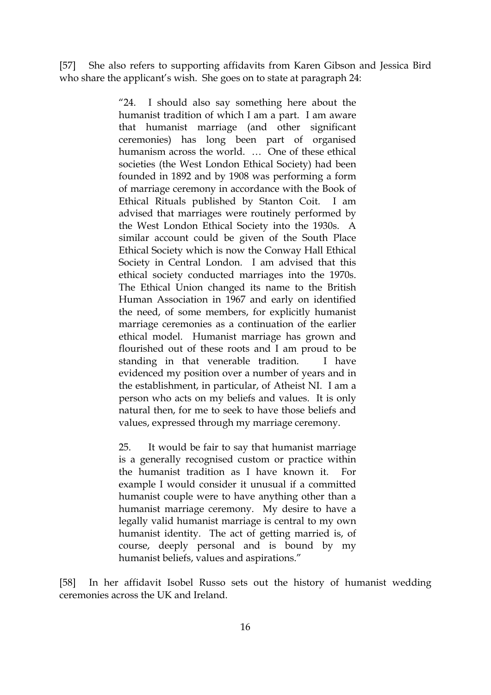[57] She also refers to supporting affidavits from Karen Gibson and Jessica Bird who share the applicant's wish. She goes on to state at paragraph 24:

> "24. I should also say something here about the humanist tradition of which I am a part. I am aware that humanist marriage (and other significant ceremonies) has long been part of organised humanism across the world. … One of these ethical societies (the West London Ethical Society) had been founded in 1892 and by 1908 was performing a form of marriage ceremony in accordance with the Book of Ethical Rituals published by Stanton Coit. I am advised that marriages were routinely performed by the West London Ethical Society into the 1930s. A similar account could be given of the South Place Ethical Society which is now the Conway Hall Ethical Society in Central London. I am advised that this ethical society conducted marriages into the 1970s. The Ethical Union changed its name to the British Human Association in 1967 and early on identified the need, of some members, for explicitly humanist marriage ceremonies as a continuation of the earlier ethical model. Humanist marriage has grown and flourished out of these roots and I am proud to be standing in that venerable tradition. I have evidenced my position over a number of years and in the establishment, in particular, of Atheist NI. I am a person who acts on my beliefs and values. It is only natural then, for me to seek to have those beliefs and values, expressed through my marriage ceremony.

> 25. It would be fair to say that humanist marriage is a generally recognised custom or practice within the humanist tradition as I have known it. For example I would consider it unusual if a committed humanist couple were to have anything other than a humanist marriage ceremony. My desire to have a legally valid humanist marriage is central to my own humanist identity. The act of getting married is, of course, deeply personal and is bound by my humanist beliefs, values and aspirations."

[58] In her affidavit Isobel Russo sets out the history of humanist wedding ceremonies across the UK and Ireland.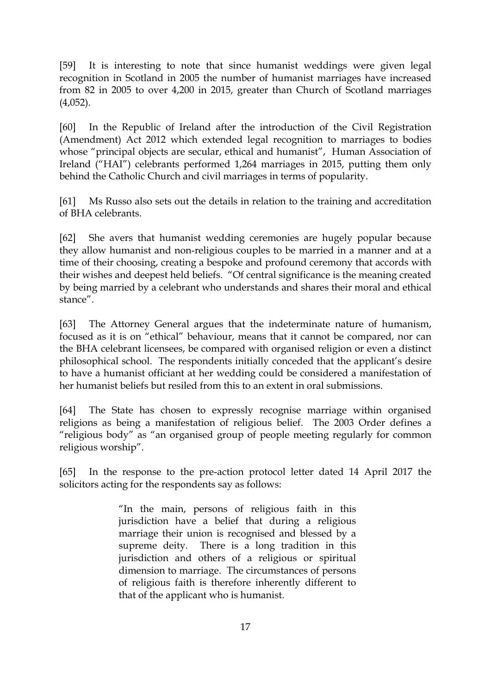[59] It is interesting to note that since humanist weddings were given legal recognition in Scotland in 2005 the number of humanist marriages have increased from 82 in 2005 to over 4,200 in 2015, greater than Church of Scotland marriages  $(4,052)$ .

[60] In the Republic of Ireland after the introduction of the Civil Registration (Amendment) Act 2012 which extended legal recognition to marriages to bodies whose "principal objects are secular, ethical and humanist", Human Association of Ireland ("HAI") celebrants performed 1,264 marriages in 2015, putting them only behind the Catholic Church and civil marriages in terms of popularity.

[61] Ms Russo also sets out the details in relation to the training and accreditation of BHA celebrants.

[62] She avers that humanist wedding ceremonies are hugely popular because they allow humanist and non-religious couples to be married in a manner and at a time of their choosing, creating a bespoke and profound ceremony that accords with their wishes and deepest held beliefs. "Of central significance is the meaning created by being married by a celebrant who understands and shares their moral and ethical stance".

[63] The Attorney General argues that the indeterminate nature of humanism, focused as it is on "ethical" behaviour, means that it cannot be compared, nor can the BHA celebrant licensees, be compared with organised religion or even a distinct philosophical school. The respondents initially conceded that the applicant's desire to have a humanist officiant at her wedding could be considered a manifestation of her humanist beliefs but resiled from this to an extent in oral submissions.

[64] The State has chosen to expressly recognise marriage within organised religions as being a manifestation of religious belief. The 2003 Order defines a "religious body" as "an organised group of people meeting regularly for common religious worship".

[65] In the response to the pre-action protocol letter dated 14 April 2017 the solicitors acting for the respondents say as follows:

> "In the main, persons of religious faith in this jurisdiction have a belief that during a religious marriage their union is recognised and blessed by a supreme deity. There is a long tradition in this jurisdiction and others of a religious or spiritual dimension to marriage. The circumstances of persons of religious faith is therefore inherently different to that of the applicant who is humanist.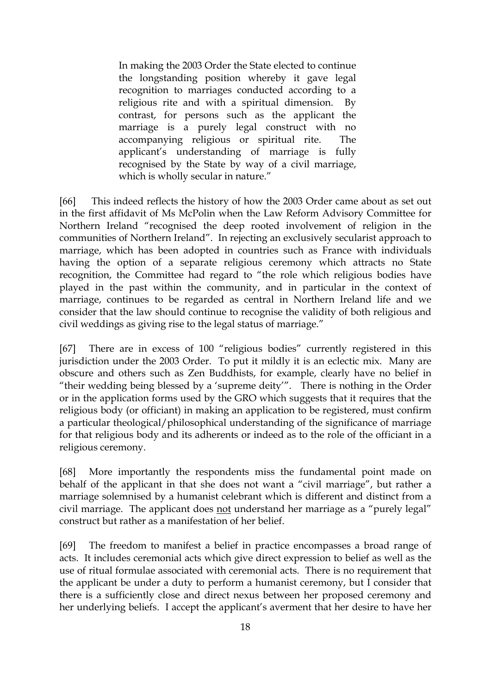In making the 2003 Order the State elected to continue the longstanding position whereby it gave legal recognition to marriages conducted according to a religious rite and with a spiritual dimension. By contrast, for persons such as the applicant the marriage is a purely legal construct with no accompanying religious or spiritual rite. The applicant's understanding of marriage is fully recognised by the State by way of a civil marriage, which is wholly secular in nature."

[66] This indeed reflects the history of how the 2003 Order came about as set out in the first affidavit of Ms McPolin when the Law Reform Advisory Committee for Northern Ireland "recognised the deep rooted involvement of religion in the communities of Northern Ireland". In rejecting an exclusively secularist approach to marriage, which has been adopted in countries such as France with individuals having the option of a separate religious ceremony which attracts no State recognition, the Committee had regard to "the role which religious bodies have played in the past within the community, and in particular in the context of marriage, continues to be regarded as central in Northern Ireland life and we consider that the law should continue to recognise the validity of both religious and civil weddings as giving rise to the legal status of marriage."

[67] There are in excess of 100 "religious bodies" currently registered in this jurisdiction under the 2003 Order. To put it mildly it is an eclectic mix. Many are obscure and others such as Zen Buddhists, for example, clearly have no belief in "their wedding being blessed by a 'supreme deity'". There is nothing in the Order or in the application forms used by the GRO which suggests that it requires that the religious body (or officiant) in making an application to be registered, must confirm a particular theological/philosophical understanding of the significance of marriage for that religious body and its adherents or indeed as to the role of the officiant in a religious ceremony.

[68] More importantly the respondents miss the fundamental point made on behalf of the applicant in that she does not want a "civil marriage", but rather a marriage solemnised by a humanist celebrant which is different and distinct from a civil marriage. The applicant does not understand her marriage as a "purely legal" construct but rather as a manifestation of her belief.

[69] The freedom to manifest a belief in practice encompasses a broad range of acts. It includes ceremonial acts which give direct expression to belief as well as the use of ritual formulae associated with ceremonial acts. There is no requirement that the applicant be under a duty to perform a humanist ceremony, but I consider that there is a sufficiently close and direct nexus between her proposed ceremony and her underlying beliefs. I accept the applicant's averment that her desire to have her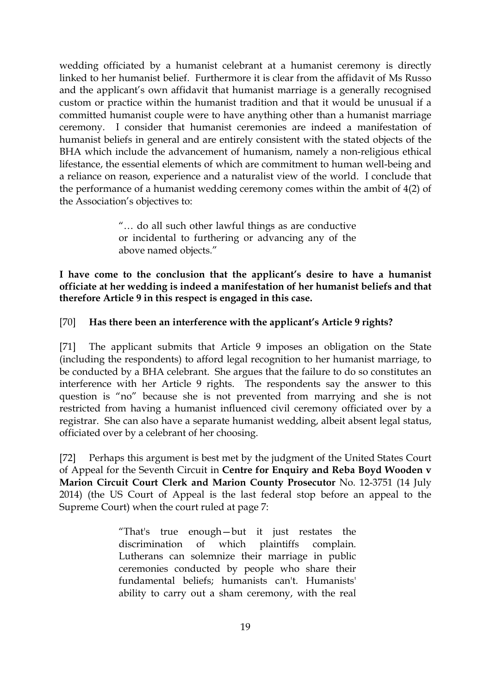wedding officiated by a humanist celebrant at a humanist ceremony is directly linked to her humanist belief. Furthermore it is clear from the affidavit of Ms Russo and the applicant's own affidavit that humanist marriage is a generally recognised custom or practice within the humanist tradition and that it would be unusual if a committed humanist couple were to have anything other than a humanist marriage ceremony. I consider that humanist ceremonies are indeed a manifestation of humanist beliefs in general and are entirely consistent with the stated objects of the BHA which include the advancement of humanism, namely a non-religious ethical lifestance, the essential elements of which are commitment to human well-being and a reliance on reason, experience and a naturalist view of the world. I conclude that the performance of a humanist wedding ceremony comes within the ambit of 4(2) of the Association's objectives to:

> "… do all such other lawful things as are conductive or incidental to furthering or advancing any of the above named objects."

**I have come to the conclusion that the applicant's desire to have a humanist officiate at her wedding is indeed a manifestation of her humanist beliefs and that therefore Article 9 in this respect is engaged in this case.** 

## [70] **Has there been an interference with the applicant's Article 9 rights?**

[71] The applicant submits that Article 9 imposes an obligation on the State (including the respondents) to afford legal recognition to her humanist marriage, to be conducted by a BHA celebrant. She argues that the failure to do so constitutes an interference with her Article 9 rights. The respondents say the answer to this question is "no" because she is not prevented from marrying and she is not restricted from having a humanist influenced civil ceremony officiated over by a registrar. She can also have a separate humanist wedding, albeit absent legal status, officiated over by a celebrant of her choosing.

[72] Perhaps this argument is best met by the judgment of the United States Court of Appeal for the Seventh Circuit in **Centre for Enquiry and Reba Boyd Wooden v Marion Circuit Court Clerk and Marion County Prosecutor** No. 12-3751 (14 July 2014) (the US Court of Appeal is the last federal stop before an appeal to the Supreme Court) when the court ruled at page 7:

> "That's true enough—but it just restates the discrimination of which plaintiffs complain. Lutherans can solemnize their marriage in public ceremonies conducted by people who share their fundamental beliefs; humanists can't. Humanists' ability to carry out a sham ceremony, with the real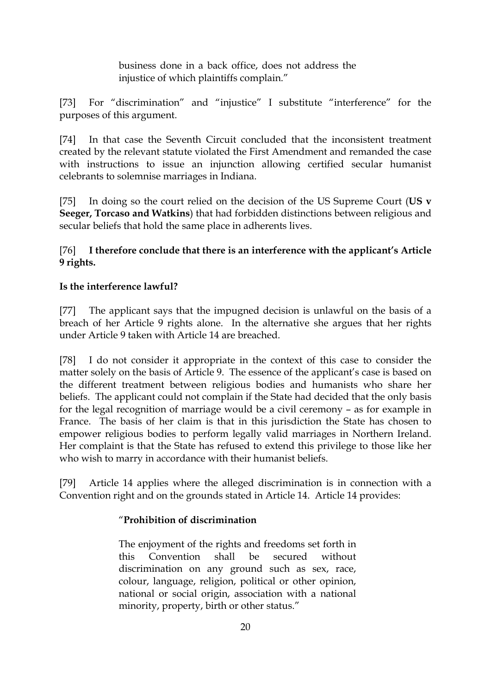business done in a back office, does not address the injustice of which plaintiffs complain."

[73] For "discrimination" and "injustice" I substitute "interference" for the purposes of this argument.

[74] In that case the Seventh Circuit concluded that the inconsistent treatment created by the relevant statute violated the First Amendment and remanded the case with instructions to issue an injunction allowing certified secular humanist celebrants to solemnise marriages in Indiana.

[75] In doing so the court relied on the decision of the US Supreme Court (**US v Seeger, Torcaso and Watkins**) that had forbidden distinctions between religious and secular beliefs that hold the same place in adherents lives.

[76] **I therefore conclude that there is an interference with the applicant's Article 9 rights.** 

# **Is the interference lawful?**

[77] The applicant says that the impugned decision is unlawful on the basis of a breach of her Article 9 rights alone. In the alternative she argues that her rights under Article 9 taken with Article 14 are breached.

[78] I do not consider it appropriate in the context of this case to consider the matter solely on the basis of Article 9. The essence of the applicant's case is based on the different treatment between religious bodies and humanists who share her beliefs. The applicant could not complain if the State had decided that the only basis for the legal recognition of marriage would be a civil ceremony – as for example in France. The basis of her claim is that in this jurisdiction the State has chosen to empower religious bodies to perform legally valid marriages in Northern Ireland. Her complaint is that the State has refused to extend this privilege to those like her who wish to marry in accordance with their humanist beliefs.

[79] Article 14 applies where the alleged discrimination is in connection with a Convention right and on the grounds stated in Article 14. Article 14 provides:

# "**Prohibition of discrimination**

The enjoyment of the rights and freedoms set forth in this Convention shall be secured without discrimination on any ground such as sex, race, colour, language, religion, political or other opinion, national or social origin, association with a national minority, property, birth or other status."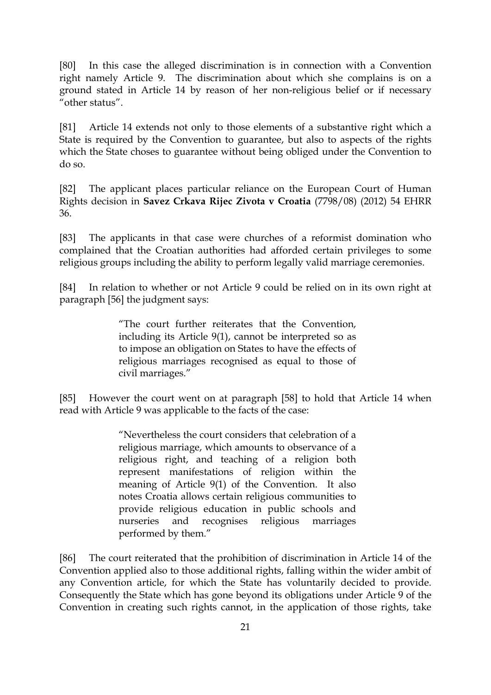[80] In this case the alleged discrimination is in connection with a Convention right namely Article 9. The discrimination about which she complains is on a ground stated in Article 14 by reason of her non-religious belief or if necessary "other status".

[81] Article 14 extends not only to those elements of a substantive right which a State is required by the Convention to guarantee, but also to aspects of the rights which the State choses to guarantee without being obliged under the Convention to do so.

[82] The applicant places particular reliance on the European Court of Human Rights decision in **Savez Crkava Rijec Zivota v Croatia** (7798/08) (2012) 54 EHRR 36.

[83] The applicants in that case were churches of a reformist domination who complained that the Croatian authorities had afforded certain privileges to some religious groups including the ability to perform legally valid marriage ceremonies.

[84] In relation to whether or not Article 9 could be relied on in its own right at paragraph [56] the judgment says:

> "The court further reiterates that the Convention, including its Article 9(1), cannot be interpreted so as to impose an obligation on States to have the effects of religious marriages recognised as equal to those of civil marriages."

[85] However the court went on at paragraph [58] to hold that Article 14 when read with Article 9 was applicable to the facts of the case:

> "Nevertheless the court considers that celebration of a religious marriage, which amounts to observance of a religious right, and teaching of a religion both represent manifestations of religion within the meaning of Article 9(1) of the Convention. It also notes Croatia allows certain religious communities to provide religious education in public schools and nurseries and recognises religious marriages performed by them."

[86] The court reiterated that the prohibition of discrimination in Article 14 of the Convention applied also to those additional rights, falling within the wider ambit of any Convention article, for which the State has voluntarily decided to provide. Consequently the State which has gone beyond its obligations under Article 9 of the Convention in creating such rights cannot, in the application of those rights, take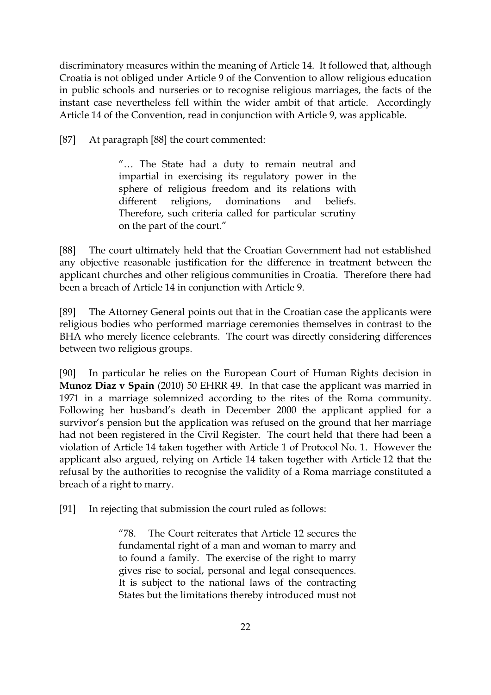discriminatory measures within the meaning of Article 14. It followed that, although Croatia is not obliged under Article 9 of the Convention to allow religious education in public schools and nurseries or to recognise religious marriages, the facts of the instant case nevertheless fell within the wider ambit of that article. Accordingly Article 14 of the Convention, read in conjunction with Article 9, was applicable.

[87] At paragraph [88] the court commented:

"… The State had a duty to remain neutral and impartial in exercising its regulatory power in the sphere of religious freedom and its relations with different religions, dominations and beliefs. Therefore, such criteria called for particular scrutiny on the part of the court."

[88] The court ultimately held that the Croatian Government had not established any objective reasonable justification for the difference in treatment between the applicant churches and other religious communities in Croatia. Therefore there had been a breach of Article 14 in conjunction with Article 9.

[89] The Attorney General points out that in the Croatian case the applicants were religious bodies who performed marriage ceremonies themselves in contrast to the BHA who merely licence celebrants. The court was directly considering differences between two religious groups.

[90] In particular he relies on the European Court of Human Rights decision in **Munoz Diaz v Spain** (2010) 50 EHRR 49. In that case the applicant was married in 1971 in a marriage solemnized according to the rites of the Roma community. Following her husband's death in December 2000 the applicant applied for a survivor's pension but the application was refused on the ground that her marriage had not been registered in the Civil Register. The court held that there had been a violation of Article 14 taken together with Article 1 of Protocol No. 1. However the applicant also argued, relying on Article 14 taken together with Article 12 that the refusal by the authorities to recognise the validity of a Roma marriage constituted a breach of a right to marry.

[91] In rejecting that submission the court ruled as follows:

"78. The Court reiterates that Article 12 secures the fundamental right of a man and woman to marry and to found a family. The exercise of the right to marry gives rise to social, personal and legal consequences. It is subject to the national laws of the contracting States but the limitations thereby introduced must not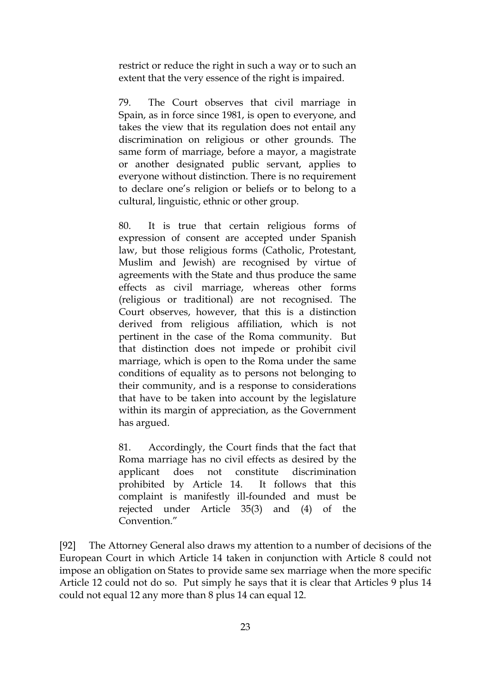restrict or reduce the right in such a way or to such an extent that the very essence of the right is impaired.

79. The Court observes that civil marriage in Spain, as in force since 1981, is open to everyone, and takes the view that its regulation does not entail any discrimination on religious or other grounds. The same form of marriage, before a mayor, a magistrate or another designated public servant, applies to everyone without distinction. There is no requirement to declare one's religion or beliefs or to belong to a cultural, linguistic, ethnic or other group.

80. It is true that certain religious forms of expression of consent are accepted under Spanish law, but those religious forms (Catholic, Protestant, Muslim and Jewish) are recognised by virtue of agreements with the State and thus produce the same effects as civil marriage, whereas other forms (religious or traditional) are not recognised. The Court observes, however, that this is a distinction derived from religious affiliation, which is not pertinent in the case of the Roma community. But that distinction does not impede or prohibit civil marriage, which is open to the Roma under the same conditions of equality as to persons not belonging to their community, and is a response to considerations that have to be taken into account by the legislature within its margin of appreciation, as the Government has argued.

81. Accordingly, the Court finds that the fact that Roma marriage has no civil effects as desired by the applicant does not constitute discrimination prohibited by Article 14. It follows that this complaint is manifestly ill-founded and must be rejected under Article 35(3) and (4) of the Convention."

[92] The Attorney General also draws my attention to a number of decisions of the European Court in which Article 14 taken in conjunction with Article 8 could not impose an obligation on States to provide same sex marriage when the more specific Article 12 could not do so. Put simply he says that it is clear that Articles 9 plus 14 could not equal 12 any more than 8 plus 14 can equal 12.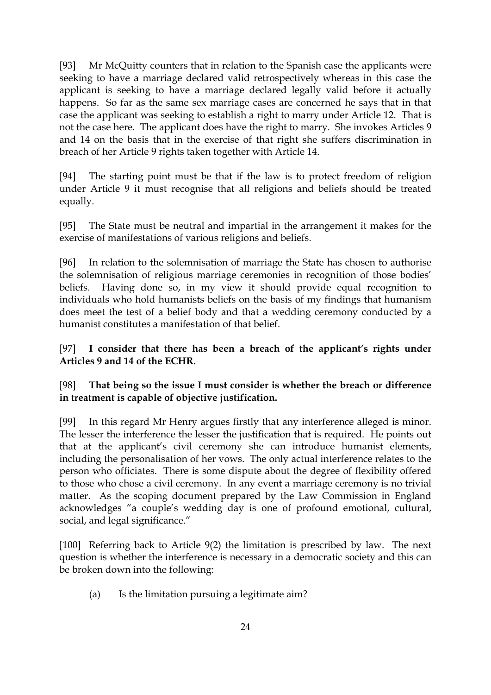[93] Mr McQuitty counters that in relation to the Spanish case the applicants were seeking to have a marriage declared valid retrospectively whereas in this case the applicant is seeking to have a marriage declared legally valid before it actually happens. So far as the same sex marriage cases are concerned he says that in that case the applicant was seeking to establish a right to marry under Article 12. That is not the case here. The applicant does have the right to marry. She invokes Articles 9 and 14 on the basis that in the exercise of that right she suffers discrimination in breach of her Article 9 rights taken together with Article 14.

[94] The starting point must be that if the law is to protect freedom of religion under Article 9 it must recognise that all religions and beliefs should be treated equally.

[95] The State must be neutral and impartial in the arrangement it makes for the exercise of manifestations of various religions and beliefs.

[96] In relation to the solemnisation of marriage the State has chosen to authorise the solemnisation of religious marriage ceremonies in recognition of those bodies' beliefs. Having done so, in my view it should provide equal recognition to individuals who hold humanists beliefs on the basis of my findings that humanism does meet the test of a belief body and that a wedding ceremony conducted by a humanist constitutes a manifestation of that belief.

[97] **I consider that there has been a breach of the applicant's rights under Articles 9 and 14 of the ECHR.**

[98] **That being so the issue I must consider is whether the breach or difference in treatment is capable of objective justification.** 

[99] In this regard Mr Henry argues firstly that any interference alleged is minor. The lesser the interference the lesser the justification that is required. He points out that at the applicant's civil ceremony she can introduce humanist elements, including the personalisation of her vows. The only actual interference relates to the person who officiates. There is some dispute about the degree of flexibility offered to those who chose a civil ceremony. In any event a marriage ceremony is no trivial matter. As the scoping document prepared by the Law Commission in England acknowledges "a couple's wedding day is one of profound emotional, cultural, social, and legal significance."

[100] Referring back to Article 9(2) the limitation is prescribed by law. The next question is whether the interference is necessary in a democratic society and this can be broken down into the following:

(a) Is the limitation pursuing a legitimate aim?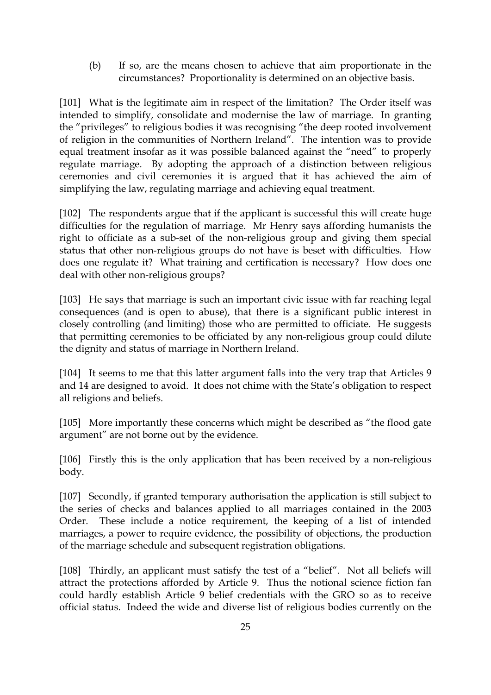(b) If so, are the means chosen to achieve that aim proportionate in the circumstances? Proportionality is determined on an objective basis.

[101] What is the legitimate aim in respect of the limitation? The Order itself was intended to simplify, consolidate and modernise the law of marriage. In granting the "privileges" to religious bodies it was recognising "the deep rooted involvement of religion in the communities of Northern Ireland". The intention was to provide equal treatment insofar as it was possible balanced against the "need" to properly regulate marriage. By adopting the approach of a distinction between religious ceremonies and civil ceremonies it is argued that it has achieved the aim of simplifying the law, regulating marriage and achieving equal treatment.

[102] The respondents argue that if the applicant is successful this will create huge difficulties for the regulation of marriage. Mr Henry says affording humanists the right to officiate as a sub-set of the non-religious group and giving them special status that other non-religious groups do not have is beset with difficulties. How does one regulate it? What training and certification is necessary? How does one deal with other non-religious groups?

[103] He says that marriage is such an important civic issue with far reaching legal consequences (and is open to abuse), that there is a significant public interest in closely controlling (and limiting) those who are permitted to officiate. He suggests that permitting ceremonies to be officiated by any non-religious group could dilute the dignity and status of marriage in Northern Ireland.

[104] It seems to me that this latter argument falls into the very trap that Articles 9 and 14 are designed to avoid. It does not chime with the State's obligation to respect all religions and beliefs.

[105] More importantly these concerns which might be described as "the flood gate argument" are not borne out by the evidence.

[106] Firstly this is the only application that has been received by a non-religious body.

[107] Secondly, if granted temporary authorisation the application is still subject to the series of checks and balances applied to all marriages contained in the 2003 Order. These include a notice requirement, the keeping of a list of intended marriages, a power to require evidence, the possibility of objections, the production of the marriage schedule and subsequent registration obligations.

[108] Thirdly, an applicant must satisfy the test of a "belief". Not all beliefs will attract the protections afforded by Article 9. Thus the notional science fiction fan could hardly establish Article 9 belief credentials with the GRO so as to receive official status. Indeed the wide and diverse list of religious bodies currently on the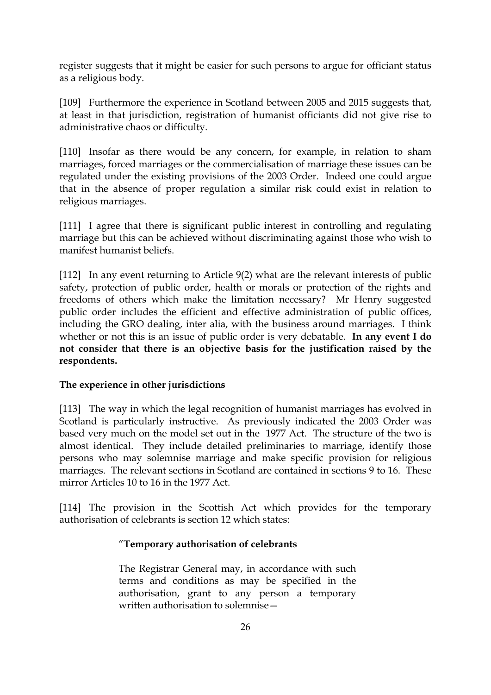register suggests that it might be easier for such persons to argue for officiant status as a religious body.

[109] Furthermore the experience in Scotland between 2005 and 2015 suggests that, at least in that jurisdiction, registration of humanist officiants did not give rise to administrative chaos or difficulty.

[110] Insofar as there would be any concern, for example, in relation to sham marriages, forced marriages or the commercialisation of marriage these issues can be regulated under the existing provisions of the 2003 Order. Indeed one could argue that in the absence of proper regulation a similar risk could exist in relation to religious marriages.

[111] I agree that there is significant public interest in controlling and regulating marriage but this can be achieved without discriminating against those who wish to manifest humanist beliefs.

[112] In any event returning to Article 9(2) what are the relevant interests of public safety, protection of public order, health or morals or protection of the rights and freedoms of others which make the limitation necessary? Mr Henry suggested public order includes the efficient and effective administration of public offices, including the GRO dealing, inter alia, with the business around marriages. I think whether or not this is an issue of public order is very debatable. **In any event I do not consider that there is an objective basis for the justification raised by the respondents.**

## **The experience in other jurisdictions**

[113] The way in which the legal recognition of humanist marriages has evolved in Scotland is particularly instructive. As previously indicated the 2003 Order was based very much on the model set out in the 1977 Act. The structure of the two is almost identical. They include detailed preliminaries to marriage, identify those persons who may solemnise marriage and make specific provision for religious marriages. The relevant sections in Scotland are contained in sections 9 to 16. These mirror Articles 10 to 16 in the 1977 Act.

[114] The provision in the Scottish Act which provides for the temporary authorisation of celebrants is section 12 which states:

## "**Temporary authorisation of celebrants**

The Registrar General may, in accordance with such terms and conditions as may be specified in the authorisation, grant to any person a temporary written authorisation to solemnise—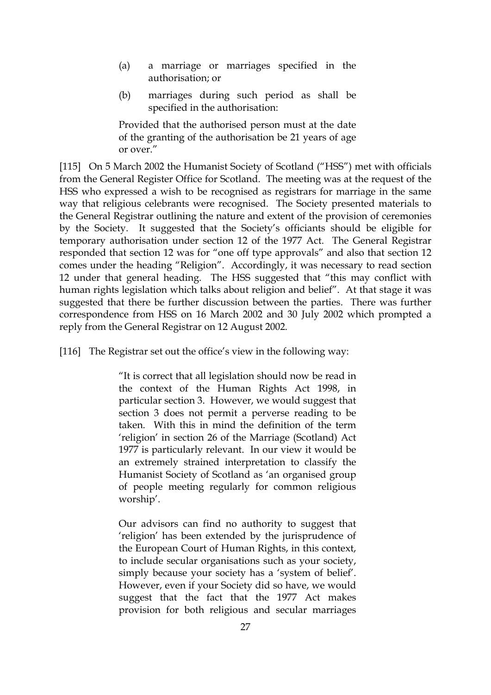- (a) a marriage or marriages specified in the authorisation; or
- (b) marriages during such period as shall be specified in the authorisation:

Provided that the authorised person must at the date of the granting of the authorisation be 21 years of age or over."

[115] On 5 March 2002 the Humanist Society of Scotland ("HSS") met with officials from the General Register Office for Scotland. The meeting was at the request of the HSS who expressed a wish to be recognised as registrars for marriage in the same way that religious celebrants were recognised. The Society presented materials to the General Registrar outlining the nature and extent of the provision of ceremonies by the Society. It suggested that the Society's officiants should be eligible for temporary authorisation under section 12 of the 1977 Act. The General Registrar responded that section 12 was for "one off type approvals" and also that section 12 comes under the heading "Religion". Accordingly, it was necessary to read section 12 under that general heading. The HSS suggested that "this may conflict with human rights legislation which talks about religion and belief". At that stage it was suggested that there be further discussion between the parties. There was further correspondence from HSS on 16 March 2002 and 30 July 2002 which prompted a reply from the General Registrar on 12 August 2002.

[116] The Registrar set out the office's view in the following way:

"It is correct that all legislation should now be read in the context of the Human Rights Act 1998, in particular section 3. However, we would suggest that section 3 does not permit a perverse reading to be taken. With this in mind the definition of the term 'religion' in section 26 of the Marriage (Scotland) Act 1977 is particularly relevant. In our view it would be an extremely strained interpretation to classify the Humanist Society of Scotland as 'an organised group of people meeting regularly for common religious worship'.

Our advisors can find no authority to suggest that 'religion' has been extended by the jurisprudence of the European Court of Human Rights, in this context, to include secular organisations such as your society, simply because your society has a 'system of belief'. However, even if your Society did so have, we would suggest that the fact that the 1977 Act makes provision for both religious and secular marriages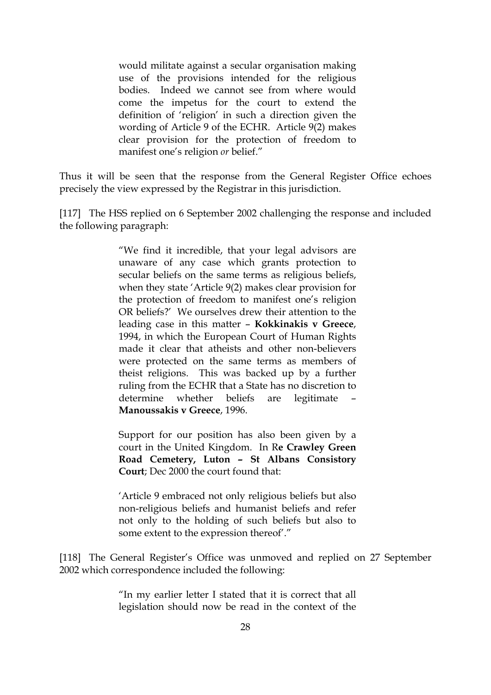would militate against a secular organisation making use of the provisions intended for the religious bodies. Indeed we cannot see from where would come the impetus for the court to extend the definition of 'religion' in such a direction given the wording of Article 9 of the ECHR. Article 9(2) makes clear provision for the protection of freedom to manifest one's religion *or* belief."

Thus it will be seen that the response from the General Register Office echoes precisely the view expressed by the Registrar in this jurisdiction.

[117] The HSS replied on 6 September 2002 challenging the response and included the following paragraph:

> "We find it incredible, that your legal advisors are unaware of any case which grants protection to secular beliefs on the same terms as religious beliefs, when they state 'Article 9(2) makes clear provision for the protection of freedom to manifest one's religion OR beliefs?' We ourselves drew their attention to the leading case in this matter – **Kokkinakis v Greece**, 1994, in which the European Court of Human Rights made it clear that atheists and other non-believers were protected on the same terms as members of theist religions. This was backed up by a further ruling from the ECHR that a State has no discretion to determine whether beliefs are legitimate **Manoussakis v Greece**, 1996.

> Support for our position has also been given by a court in the United Kingdom. In R**e Crawley Green Road Cemetery, Luton – St Albans Consistory Court**; Dec 2000 the court found that:

> 'Article 9 embraced not only religious beliefs but also non-religious beliefs and humanist beliefs and refer not only to the holding of such beliefs but also to some extent to the expression thereof'."

[118] The General Register's Office was unmoved and replied on 27 September 2002 which correspondence included the following:

> "In my earlier letter I stated that it is correct that all legislation should now be read in the context of the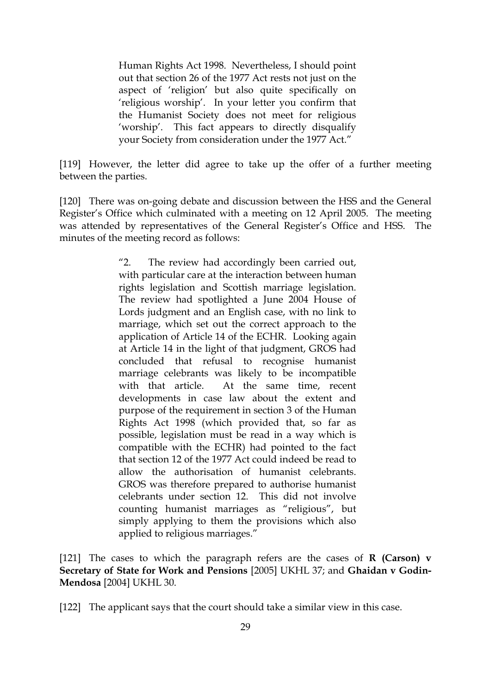Human Rights Act 1998. Nevertheless, I should point out that section 26 of the 1977 Act rests not just on the aspect of 'religion' but also quite specifically on 'religious worship'. In your letter you confirm that the Humanist Society does not meet for religious 'worship'. This fact appears to directly disqualify your Society from consideration under the 1977 Act."

[119] However, the letter did agree to take up the offer of a further meeting between the parties.

[120] There was on-going debate and discussion between the HSS and the General Register's Office which culminated with a meeting on 12 April 2005. The meeting was attended by representatives of the General Register's Office and HSS. The minutes of the meeting record as follows:

> "2. The review had accordingly been carried out, with particular care at the interaction between human rights legislation and Scottish marriage legislation. The review had spotlighted a June 2004 House of Lords judgment and an English case, with no link to marriage, which set out the correct approach to the application of Article 14 of the ECHR. Looking again at Article 14 in the light of that judgment, GROS had concluded that refusal to recognise humanist marriage celebrants was likely to be incompatible with that article. At the same time, recent developments in case law about the extent and purpose of the requirement in section 3 of the Human Rights Act 1998 (which provided that, so far as possible, legislation must be read in a way which is compatible with the ECHR) had pointed to the fact that section 12 of the 1977 Act could indeed be read to allow the authorisation of humanist celebrants. GROS was therefore prepared to authorise humanist celebrants under section 12. This did not involve counting humanist marriages as "religious", but simply applying to them the provisions which also applied to religious marriages."

[121] The cases to which the paragraph refers are the cases of **R (Carson) v Secretary of State for Work and Pensions** [2005] UKHL 37; and **Ghaidan v Godin-Mendosa** [2004] UKHL 30.

[122] The applicant says that the court should take a similar view in this case.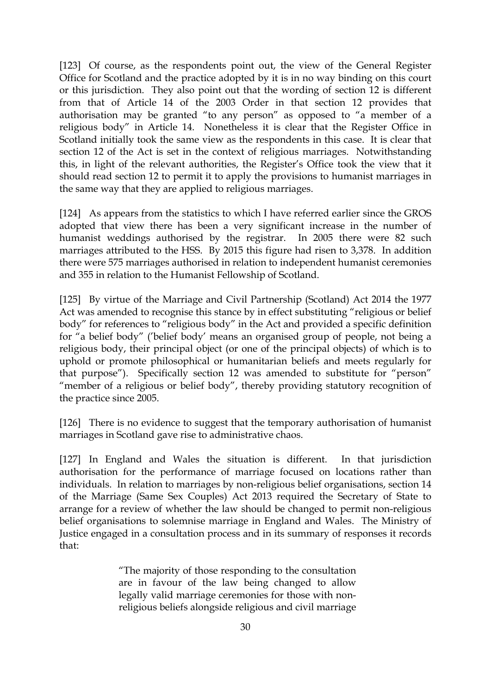[123] Of course, as the respondents point out, the view of the General Register Office for Scotland and the practice adopted by it is in no way binding on this court or this jurisdiction. They also point out that the wording of section 12 is different from that of Article 14 of the 2003 Order in that section 12 provides that authorisation may be granted "to any person" as opposed to "a member of a religious body" in Article 14. Nonetheless it is clear that the Register Office in Scotland initially took the same view as the respondents in this case. It is clear that section 12 of the Act is set in the context of religious marriages. Notwithstanding this, in light of the relevant authorities, the Register's Office took the view that it should read section 12 to permit it to apply the provisions to humanist marriages in the same way that they are applied to religious marriages.

[124] As appears from the statistics to which I have referred earlier since the GROS adopted that view there has been a very significant increase in the number of humanist weddings authorised by the registrar. In 2005 there were 82 such marriages attributed to the HSS. By 2015 this figure had risen to 3,378. In addition there were 575 marriages authorised in relation to independent humanist ceremonies and 355 in relation to the Humanist Fellowship of Scotland.

[125] By virtue of the Marriage and Civil Partnership (Scotland) Act 2014 the 1977 Act was amended to recognise this stance by in effect substituting "religious or belief body" for references to "religious body" in the Act and provided a specific definition for "a belief body" ('belief body' means an organised group of people, not being a religious body, their principal object (or one of the principal objects) of which is to uphold or promote philosophical or humanitarian beliefs and meets regularly for that purpose"). Specifically section 12 was amended to substitute for "person" "member of a religious or belief body", thereby providing statutory recognition of the practice since 2005.

[126] There is no evidence to suggest that the temporary authorisation of humanist marriages in Scotland gave rise to administrative chaos.

[127] In England and Wales the situation is different. In that jurisdiction authorisation for the performance of marriage focused on locations rather than individuals. In relation to marriages by non-religious belief organisations, section 14 of the Marriage (Same Sex Couples) Act 2013 required the Secretary of State to arrange for a review of whether the law should be changed to permit non-religious belief organisations to solemnise marriage in England and Wales. The Ministry of Justice engaged in a consultation process and in its summary of responses it records that:

> "The majority of those responding to the consultation are in favour of the law being changed to allow legally valid marriage ceremonies for those with nonreligious beliefs alongside religious and civil marriage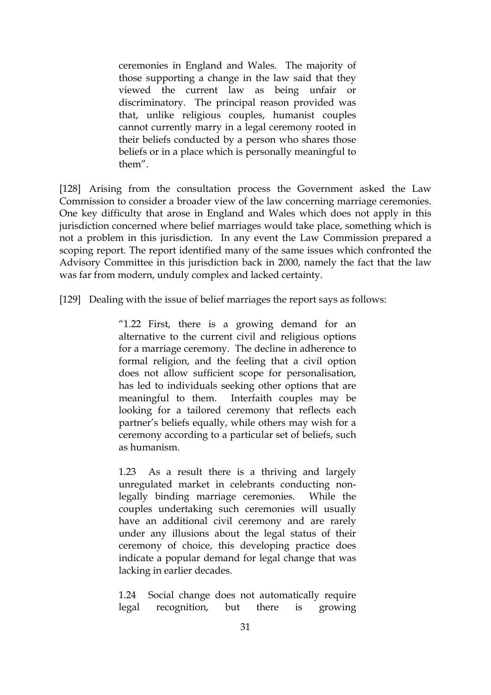ceremonies in England and Wales. The majority of those supporting a change in the law said that they viewed the current law as being unfair or discriminatory. The principal reason provided was that, unlike religious couples, humanist couples cannot currently marry in a legal ceremony rooted in their beliefs conducted by a person who shares those beliefs or in a place which is personally meaningful to them".

[128] Arising from the consultation process the Government asked the Law Commission to consider a broader view of the law concerning marriage ceremonies. One key difficulty that arose in England and Wales which does not apply in this jurisdiction concerned where belief marriages would take place, something which is not a problem in this jurisdiction. In any event the Law Commission prepared a scoping report. The report identified many of the same issues which confronted the Advisory Committee in this jurisdiction back in 2000, namely the fact that the law was far from modern, unduly complex and lacked certainty.

[129] Dealing with the issue of belief marriages the report says as follows:

"1.22 First, there is a growing demand for an alternative to the current civil and religious options for a marriage ceremony. The decline in adherence to formal religion, and the feeling that a civil option does not allow sufficient scope for personalisation, has led to individuals seeking other options that are meaningful to them. Interfaith couples may be looking for a tailored ceremony that reflects each partner's beliefs equally, while others may wish for a ceremony according to a particular set of beliefs, such as humanism.

1.23 As a result there is a thriving and largely unregulated market in celebrants conducting nonlegally binding marriage ceremonies. While the couples undertaking such ceremonies will usually have an additional civil ceremony and are rarely under any illusions about the legal status of their ceremony of choice, this developing practice does indicate a popular demand for legal change that was lacking in earlier decades.

1.24 Social change does not automatically require legal recognition, but there is growing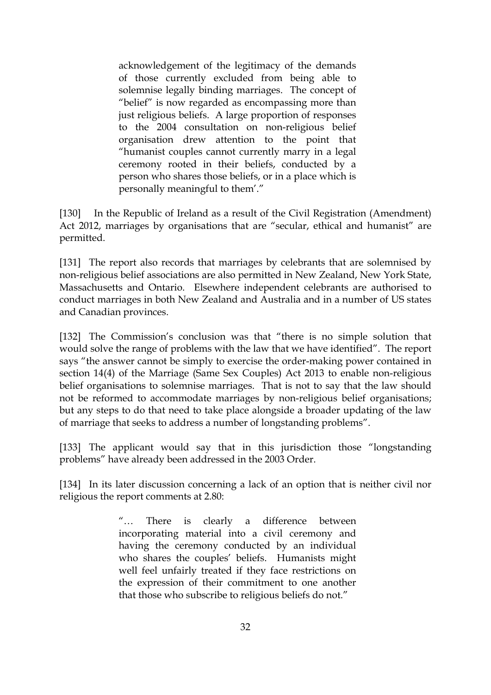acknowledgement of the legitimacy of the demands of those currently excluded from being able to solemnise legally binding marriages. The concept of "belief" is now regarded as encompassing more than just religious beliefs. A large proportion of responses to the 2004 consultation on non-religious belief organisation drew attention to the point that "humanist couples cannot currently marry in a legal ceremony rooted in their beliefs, conducted by a person who shares those beliefs, or in a place which is personally meaningful to them'."

[130] In the Republic of Ireland as a result of the Civil Registration (Amendment) Act 2012, marriages by organisations that are "secular, ethical and humanist" are permitted.

[131] The report also records that marriages by celebrants that are solemnised by non-religious belief associations are also permitted in New Zealand, New York State, Massachusetts and Ontario. Elsewhere independent celebrants are authorised to conduct marriages in both New Zealand and Australia and in a number of US states and Canadian provinces.

[132] The Commission's conclusion was that "there is no simple solution that would solve the range of problems with the law that we have identified". The report says "the answer cannot be simply to exercise the order-making power contained in section 14(4) of the Marriage (Same Sex Couples) Act 2013 to enable non-religious belief organisations to solemnise marriages. That is not to say that the law should not be reformed to accommodate marriages by non-religious belief organisations; but any steps to do that need to take place alongside a broader updating of the law of marriage that seeks to address a number of longstanding problems".

[133] The applicant would say that in this jurisdiction those "longstanding problems" have already been addressed in the 2003 Order.

[134] In its later discussion concerning a lack of an option that is neither civil nor religious the report comments at 2.80:

> "… There is clearly a difference between incorporating material into a civil ceremony and having the ceremony conducted by an individual who shares the couples' beliefs. Humanists might well feel unfairly treated if they face restrictions on the expression of their commitment to one another that those who subscribe to religious beliefs do not."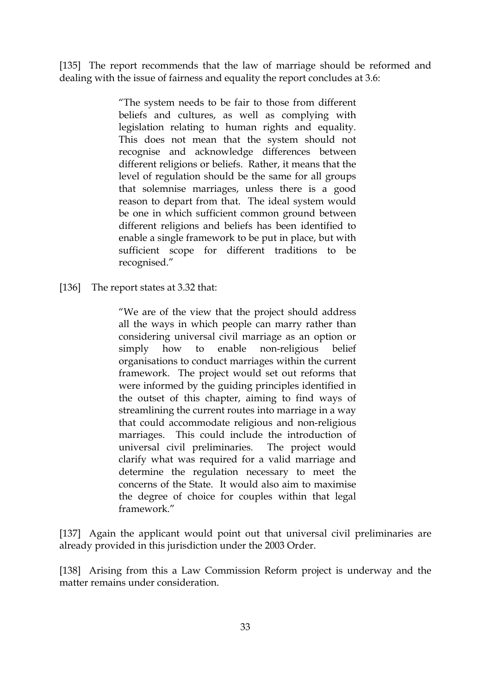[135] The report recommends that the law of marriage should be reformed and dealing with the issue of fairness and equality the report concludes at 3.6:

> "The system needs to be fair to those from different beliefs and cultures, as well as complying with legislation relating to human rights and equality. This does not mean that the system should not recognise and acknowledge differences between different religions or beliefs. Rather, it means that the level of regulation should be the same for all groups that solemnise marriages, unless there is a good reason to depart from that. The ideal system would be one in which sufficient common ground between different religions and beliefs has been identified to enable a single framework to be put in place, but with sufficient scope for different traditions to be recognised."

[136] The report states at 3.32 that:

"We are of the view that the project should address all the ways in which people can marry rather than considering universal civil marriage as an option or simply how to enable non-religious belief organisations to conduct marriages within the current framework. The project would set out reforms that were informed by the guiding principles identified in the outset of this chapter, aiming to find ways of streamlining the current routes into marriage in a way that could accommodate religious and non-religious marriages. This could include the introduction of universal civil preliminaries. The project would clarify what was required for a valid marriage and determine the regulation necessary to meet the concerns of the State. It would also aim to maximise the degree of choice for couples within that legal framework."

[137] Again the applicant would point out that universal civil preliminaries are already provided in this jurisdiction under the 2003 Order.

[138] Arising from this a Law Commission Reform project is underway and the matter remains under consideration.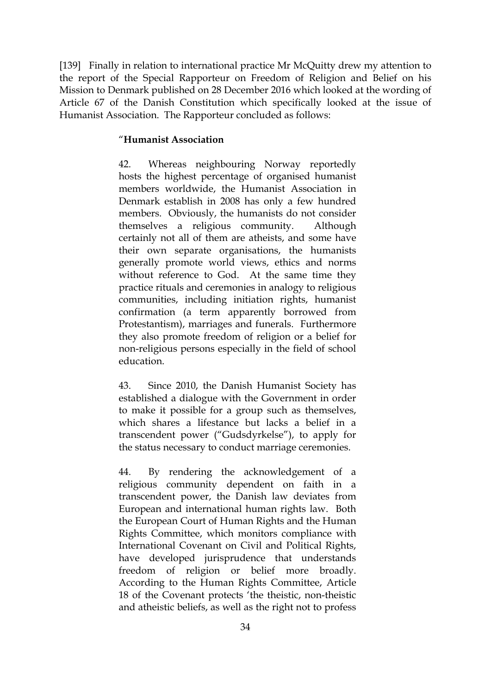[139] Finally in relation to international practice Mr McQuitty drew my attention to the report of the Special Rapporteur on Freedom of Religion and Belief on his Mission to Denmark published on 28 December 2016 which looked at the wording of Article 67 of the Danish Constitution which specifically looked at the issue of Humanist Association. The Rapporteur concluded as follows:

#### "**Humanist Association**

42. Whereas neighbouring Norway reportedly hosts the highest percentage of organised humanist members worldwide, the Humanist Association in Denmark establish in 2008 has only a few hundred members. Obviously, the humanists do not consider themselves a religious community. Although certainly not all of them are atheists, and some have their own separate organisations, the humanists generally promote world views, ethics and norms without reference to God. At the same time they practice rituals and ceremonies in analogy to religious communities, including initiation rights, humanist confirmation (a term apparently borrowed from Protestantism), marriages and funerals. Furthermore they also promote freedom of religion or a belief for non-religious persons especially in the field of school education.

43. Since 2010, the Danish Humanist Society has established a dialogue with the Government in order to make it possible for a group such as themselves, which shares a lifestance but lacks a belief in a transcendent power ("Gudsdyrkelse"), to apply for the status necessary to conduct marriage ceremonies.

44. By rendering the acknowledgement of a religious community dependent on faith in a transcendent power, the Danish law deviates from European and international human rights law. Both the European Court of Human Rights and the Human Rights Committee, which monitors compliance with International Covenant on Civil and Political Rights, have developed jurisprudence that understands freedom of religion or belief more broadly. According to the Human Rights Committee, Article 18 of the Covenant protects 'the theistic, non-theistic and atheistic beliefs, as well as the right not to profess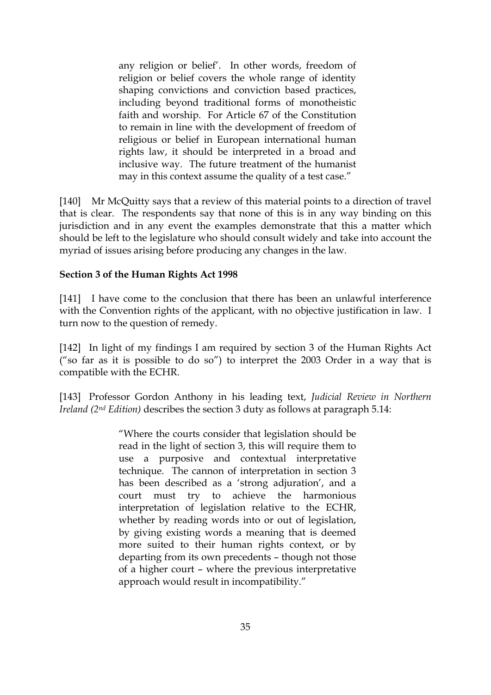any religion or belief'. In other words, freedom of religion or belief covers the whole range of identity shaping convictions and conviction based practices, including beyond traditional forms of monotheistic faith and worship. For Article 67 of the Constitution to remain in line with the development of freedom of religious or belief in European international human rights law, it should be interpreted in a broad and inclusive way. The future treatment of the humanist may in this context assume the quality of a test case."

[140] Mr McQuitty says that a review of this material points to a direction of travel that is clear. The respondents say that none of this is in any way binding on this jurisdiction and in any event the examples demonstrate that this a matter which should be left to the legislature who should consult widely and take into account the myriad of issues arising before producing any changes in the law.

#### **Section 3 of the Human Rights Act 1998**

[141] I have come to the conclusion that there has been an unlawful interference with the Convention rights of the applicant, with no objective justification in law. I turn now to the question of remedy.

[142] In light of my findings I am required by section 3 of the Human Rights Act ("so far as it is possible to do so") to interpret the 2003 Order in a way that is compatible with the ECHR.

[143] Professor Gordon Anthony in his leading text, *Judicial Review in Northern Ireland (2nd Edition)* describes the section 3 duty as follows at paragraph 5.14:

> "Where the courts consider that legislation should be read in the light of section 3, this will require them to use a purposive and contextual interpretative technique. The cannon of interpretation in section 3 has been described as a 'strong adjuration', and a court must try to achieve the harmonious interpretation of legislation relative to the ECHR, whether by reading words into or out of legislation, by giving existing words a meaning that is deemed more suited to their human rights context, or by departing from its own precedents – though not those of a higher court – where the previous interpretative approach would result in incompatibility."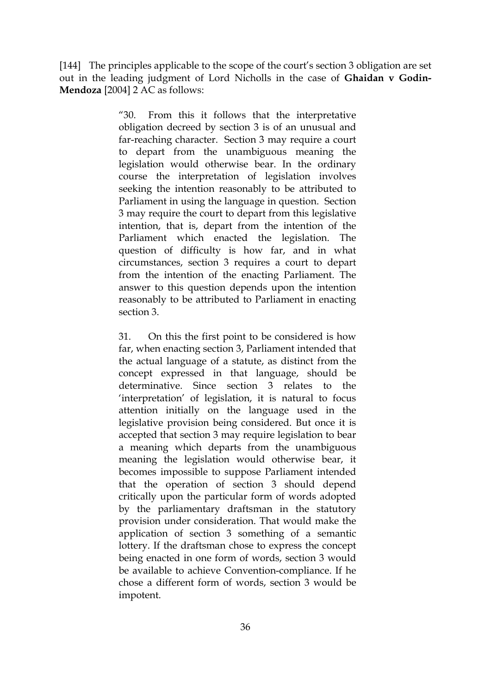[144] The principles applicable to the scope of the court's section 3 obligation are set out in the leading judgment of Lord Nicholls in the case of **Ghaidan v Godin-Mendoza** [2004] 2 AC as follows:

> "30. From this it follows that the interpretative obligation decreed by section 3 is of an unusual and far-reaching character. Section 3 may require a court to depart from the unambiguous meaning the legislation would otherwise bear. In the ordinary course the interpretation of legislation involves seeking the intention reasonably to be attributed to Parliament in using the language in question. Section 3 may require the court to depart from this legislative intention, that is, depart from the intention of the Parliament which enacted the legislation. The question of difficulty is how far, and in what circumstances, section 3 requires a court to depart from the intention of the enacting Parliament. The answer to this question depends upon the intention reasonably to be attributed to Parliament in enacting section 3.

> 31. On this the first point to be considered is how far, when enacting section 3, Parliament intended that the actual language of a statute, as distinct from the concept expressed in that language, should be determinative. Since section 3 relates to the 'interpretation' of legislation, it is natural to focus attention initially on the language used in the legislative provision being considered. But once it is accepted that section 3 may require legislation to bear a meaning which departs from the unambiguous meaning the legislation would otherwise bear, it becomes impossible to suppose Parliament intended that the operation of section 3 should depend critically upon the particular form of words adopted by the parliamentary draftsman in the statutory provision under consideration. That would make the application of section 3 something of a semantic lottery. If the draftsman chose to express the concept being enacted in one form of words, section 3 would be available to achieve Convention-compliance. If he chose a different form of words, section 3 would be impotent.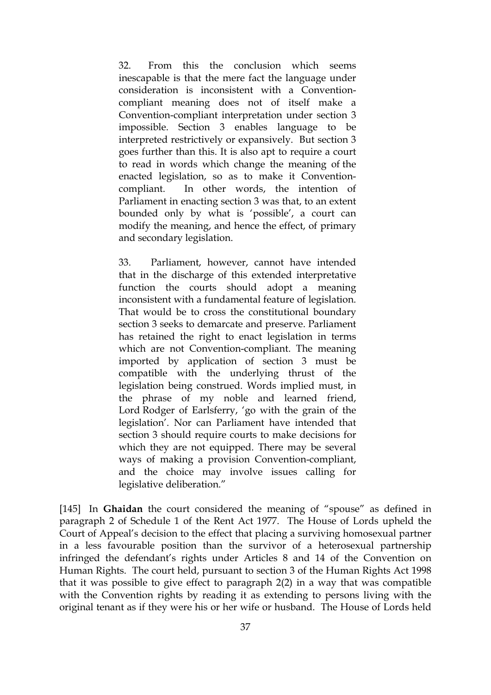32. From this the conclusion which seems inescapable is that the mere fact the language under consideration is inconsistent with a Conventioncompliant meaning does not of itself make a Convention-compliant interpretation under section 3 impossible. Section 3 enables language to be interpreted restrictively or expansively. But section 3 goes further than this. It is also apt to require a court to read in words which change the meaning of the enacted legislation, so as to make it Conventioncompliant. In other words, the intention of Parliament in enacting section 3 was that, to an extent bounded only by what is 'possible', a court can modify the meaning, and hence the effect, of primary and secondary legislation.

33. Parliament, however, cannot have intended that in the discharge of this extended interpretative function the courts should adopt a meaning inconsistent with a fundamental feature of legislation. That would be to cross the constitutional boundary section 3 seeks to demarcate and preserve. Parliament has retained the right to enact legislation in terms which are not Convention-compliant. The meaning imported by application of section 3 must be compatible with the underlying thrust of the legislation being construed. Words implied must, in the phrase of my noble and learned friend, Lord Rodger of Earlsferry, 'go with the grain of the legislation'. Nor can Parliament have intended that section 3 should require courts to make decisions for which they are not equipped. There may be several ways of making a provision Convention-compliant, and the choice may involve issues calling for legislative deliberation."

[145] In **Ghaidan** the court considered the meaning of "spouse" as defined in paragraph 2 of Schedule 1 of the Rent Act 1977. The House of Lords upheld the Court of Appeal's decision to the effect that placing a surviving homosexual partner in a less favourable position than the survivor of a heterosexual partnership infringed the defendant's rights under Articles 8 and 14 of the Convention on Human Rights. The court held, pursuant to section 3 of the Human Rights Act 1998 that it was possible to give effect to paragraph 2(2) in a way that was compatible with the Convention rights by reading it as extending to persons living with the original tenant as if they were his or her wife or husband. The House of Lords held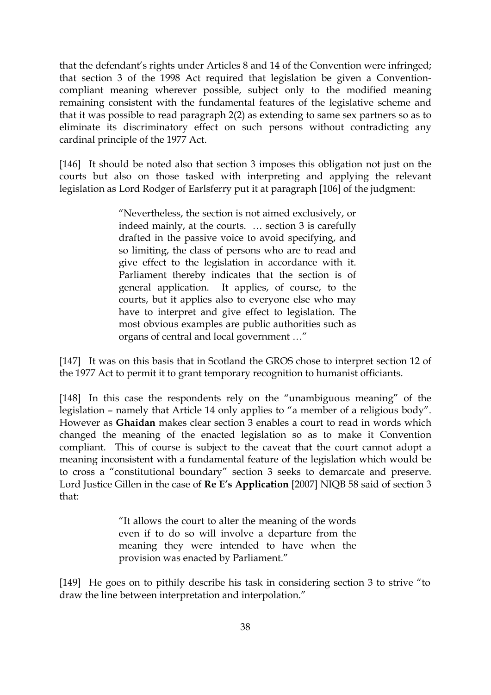that the defendant's rights under Articles 8 and 14 of the Convention were infringed; that section 3 of the 1998 Act required that legislation be given a Conventioncompliant meaning wherever possible, subject only to the modified meaning remaining consistent with the fundamental features of the legislative scheme and that it was possible to read paragraph 2(2) as extending to same sex partners so as to eliminate its discriminatory effect on such persons without contradicting any cardinal principle of the 1977 Act.

[146] It should be noted also that section 3 imposes this obligation not just on the courts but also on those tasked with interpreting and applying the relevant legislation as Lord Rodger of Earlsferry put it at paragraph [106] of the judgment:

> "Nevertheless, the section is not aimed exclusively, or indeed mainly, at the courts. … section 3 is carefully drafted in the passive voice to avoid specifying, and so limiting, the class of persons who are to read and give effect to the legislation in accordance with it. Parliament thereby indicates that the section is of general application. It applies, of course, to the courts, but it applies also to everyone else who may have to interpret and give effect to legislation. The most obvious examples are public authorities such as organs of central and local government …"

[147] It was on this basis that in Scotland the GROS chose to interpret section 12 of the 1977 Act to permit it to grant temporary recognition to humanist officiants.

[148] In this case the respondents rely on the "unambiguous meaning" of the legislation – namely that Article 14 only applies to "a member of a religious body". However as **Ghaidan** makes clear section 3 enables a court to read in words which changed the meaning of the enacted legislation so as to make it Convention compliant. This of course is subject to the caveat that the court cannot adopt a meaning inconsistent with a fundamental feature of the legislation which would be to cross a "constitutional boundary" section 3 seeks to demarcate and preserve. Lord Justice Gillen in the case of **Re E's Application** [2007] NIQB 58 said of section 3 that:

> "It allows the court to alter the meaning of the words even if to do so will involve a departure from the meaning they were intended to have when the provision was enacted by Parliament."

[149] He goes on to pithily describe his task in considering section 3 to strive "to draw the line between interpretation and interpolation."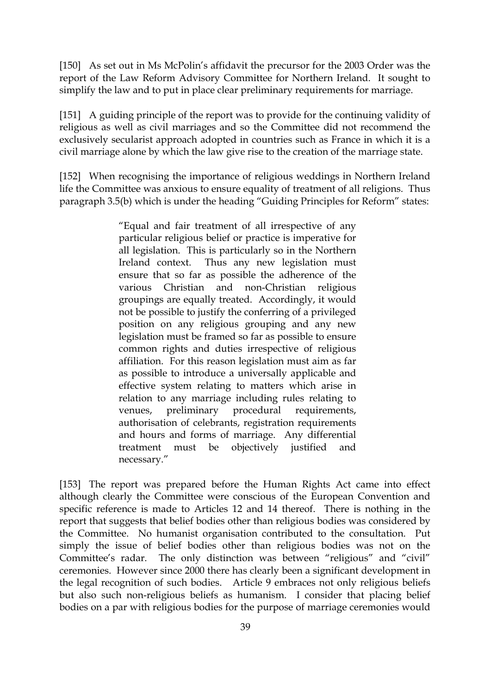[150] As set out in Ms McPolin's affidavit the precursor for the 2003 Order was the report of the Law Reform Advisory Committee for Northern Ireland. It sought to simplify the law and to put in place clear preliminary requirements for marriage.

[151] A guiding principle of the report was to provide for the continuing validity of religious as well as civil marriages and so the Committee did not recommend the exclusively secularist approach adopted in countries such as France in which it is a civil marriage alone by which the law give rise to the creation of the marriage state.

[152] When recognising the importance of religious weddings in Northern Ireland life the Committee was anxious to ensure equality of treatment of all religions. Thus paragraph 3.5(b) which is under the heading "Guiding Principles for Reform" states:

> "Equal and fair treatment of all irrespective of any particular religious belief or practice is imperative for all legislation. This is particularly so in the Northern Ireland context. Thus any new legislation must ensure that so far as possible the adherence of the various Christian and non-Christian religious groupings are equally treated. Accordingly, it would not be possible to justify the conferring of a privileged position on any religious grouping and any new legislation must be framed so far as possible to ensure common rights and duties irrespective of religious affiliation. For this reason legislation must aim as far as possible to introduce a universally applicable and effective system relating to matters which arise in relation to any marriage including rules relating to venues, preliminary procedural requirements, authorisation of celebrants, registration requirements and hours and forms of marriage. Any differential treatment must be objectively justified and necessary."

[153] The report was prepared before the Human Rights Act came into effect although clearly the Committee were conscious of the European Convention and specific reference is made to Articles 12 and 14 thereof. There is nothing in the report that suggests that belief bodies other than religious bodies was considered by the Committee. No humanist organisation contributed to the consultation. Put simply the issue of belief bodies other than religious bodies was not on the Committee's radar. The only distinction was between "religious" and "civil" ceremonies. However since 2000 there has clearly been a significant development in the legal recognition of such bodies. Article 9 embraces not only religious beliefs but also such non-religious beliefs as humanism. I consider that placing belief bodies on a par with religious bodies for the purpose of marriage ceremonies would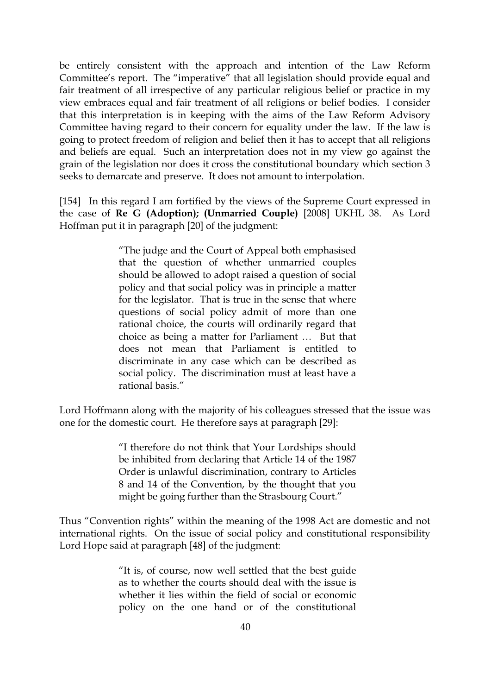be entirely consistent with the approach and intention of the Law Reform Committee's report. The "imperative" that all legislation should provide equal and fair treatment of all irrespective of any particular religious belief or practice in my view embraces equal and fair treatment of all religions or belief bodies. I consider that this interpretation is in keeping with the aims of the Law Reform Advisory Committee having regard to their concern for equality under the law. If the law is going to protect freedom of religion and belief then it has to accept that all religions and beliefs are equal. Such an interpretation does not in my view go against the grain of the legislation nor does it cross the constitutional boundary which section 3 seeks to demarcate and preserve. It does not amount to interpolation.

[154] In this regard I am fortified by the views of the Supreme Court expressed in the case of **Re G (Adoption); (Unmarried Couple)** [2008] UKHL 38. As Lord Hoffman put it in paragraph [20] of the judgment:

> "The judge and the Court of Appeal both emphasised that the question of whether unmarried couples should be allowed to adopt raised a question of social policy and that social policy was in principle a matter for the legislator. That is true in the sense that where questions of social policy admit of more than one rational choice, the courts will ordinarily regard that choice as being a matter for Parliament … But that does not mean that Parliament is entitled to discriminate in any case which can be described as social policy. The discrimination must at least have a rational basis."

Lord Hoffmann along with the majority of his colleagues stressed that the issue was one for the domestic court. He therefore says at paragraph [29]:

> "I therefore do not think that Your Lordships should be inhibited from declaring that Article 14 of the 1987 Order is unlawful discrimination, contrary to Articles 8 and 14 of the Convention, by the thought that you might be going further than the Strasbourg Court."

Thus "Convention rights" within the meaning of the 1998 Act are domestic and not international rights. On the issue of social policy and constitutional responsibility Lord Hope said at paragraph [48] of the judgment:

> "It is, of course, now well settled that the best guide as to whether the courts should deal with the issue is whether it lies within the field of social or economic policy on the one hand or of the constitutional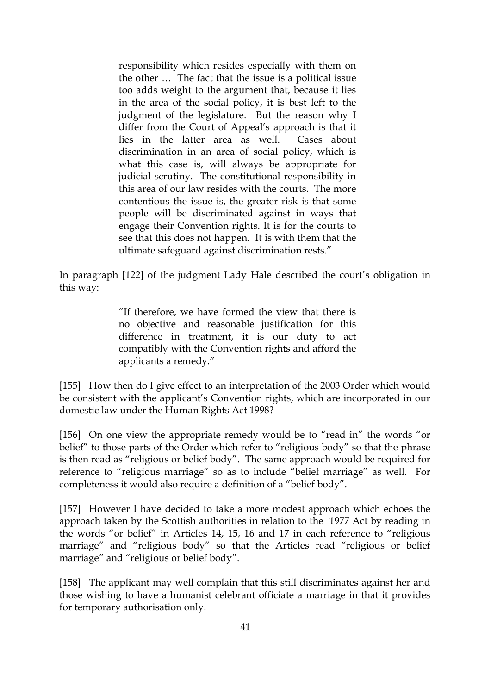responsibility which resides especially with them on the other … The fact that the issue is a political issue too adds weight to the argument that, because it lies in the area of the social policy, it is best left to the judgment of the legislature. But the reason why I differ from the Court of Appeal's approach is that it lies in the latter area as well. Cases about discrimination in an area of social policy, which is what this case is, will always be appropriate for judicial scrutiny. The constitutional responsibility in this area of our law resides with the courts. The more contentious the issue is, the greater risk is that some people will be discriminated against in ways that engage their Convention rights. It is for the courts to see that this does not happen. It is with them that the ultimate safeguard against discrimination rests."

In paragraph [122] of the judgment Lady Hale described the court's obligation in this way:

> "If therefore, we have formed the view that there is no objective and reasonable justification for this difference in treatment, it is our duty to act compatibly with the Convention rights and afford the applicants a remedy."

[155] How then do I give effect to an interpretation of the 2003 Order which would be consistent with the applicant's Convention rights, which are incorporated in our domestic law under the Human Rights Act 1998?

[156] On one view the appropriate remedy would be to "read in" the words "or belief" to those parts of the Order which refer to "religious body" so that the phrase is then read as "religious or belief body". The same approach would be required for reference to "religious marriage" so as to include "belief marriage" as well. For completeness it would also require a definition of a "belief body".

[157] However I have decided to take a more modest approach which echoes the approach taken by the Scottish authorities in relation to the 1977 Act by reading in the words "or belief" in Articles 14, 15, 16 and 17 in each reference to "religious marriage" and "religious body" so that the Articles read "religious or belief marriage" and "religious or belief body".

[158] The applicant may well complain that this still discriminates against her and those wishing to have a humanist celebrant officiate a marriage in that it provides for temporary authorisation only.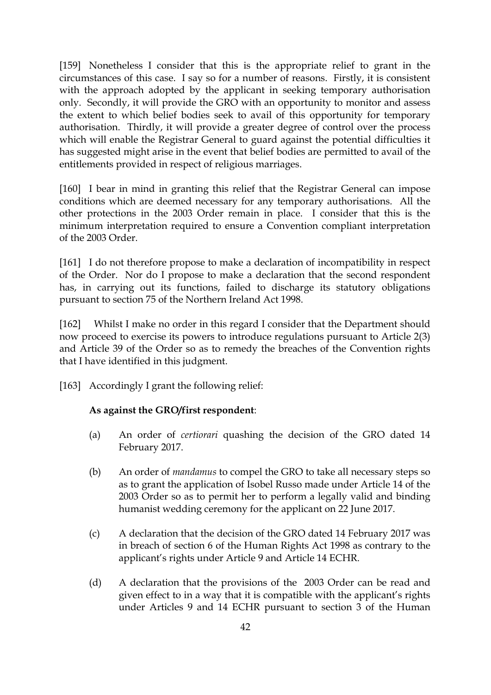[159] Nonetheless I consider that this is the appropriate relief to grant in the circumstances of this case. I say so for a number of reasons. Firstly, it is consistent with the approach adopted by the applicant in seeking temporary authorisation only. Secondly, it will provide the GRO with an opportunity to monitor and assess the extent to which belief bodies seek to avail of this opportunity for temporary authorisation. Thirdly, it will provide a greater degree of control over the process which will enable the Registrar General to guard against the potential difficulties it has suggested might arise in the event that belief bodies are permitted to avail of the entitlements provided in respect of religious marriages.

[160] I bear in mind in granting this relief that the Registrar General can impose conditions which are deemed necessary for any temporary authorisations. All the other protections in the 2003 Order remain in place. I consider that this is the minimum interpretation required to ensure a Convention compliant interpretation of the 2003 Order.

[161] I do not therefore propose to make a declaration of incompatibility in respect of the Order. Nor do I propose to make a declaration that the second respondent has, in carrying out its functions, failed to discharge its statutory obligations pursuant to section 75 of the Northern Ireland Act 1998.

[162] Whilst I make no order in this regard I consider that the Department should now proceed to exercise its powers to introduce regulations pursuant to Article 2(3) and Article 39 of the Order so as to remedy the breaches of the Convention rights that I have identified in this judgment.

[163] Accordingly I grant the following relief:

#### **As against the GRO/first respondent**:

- (a) An order of *certiorari* quashing the decision of the GRO dated 14 February 2017.
- (b) An order of *mandamus* to compel the GRO to take all necessary steps so as to grant the application of Isobel Russo made under Article 14 of the 2003 Order so as to permit her to perform a legally valid and binding humanist wedding ceremony for the applicant on 22 June 2017.
- (c) A declaration that the decision of the GRO dated 14 February 2017 was in breach of section 6 of the Human Rights Act 1998 as contrary to the applicant's rights under Article 9 and Article 14 ECHR.
- (d) A declaration that the provisions of the 2003 Order can be read and given effect to in a way that it is compatible with the applicant's rights under Articles 9 and 14 ECHR pursuant to section 3 of the Human